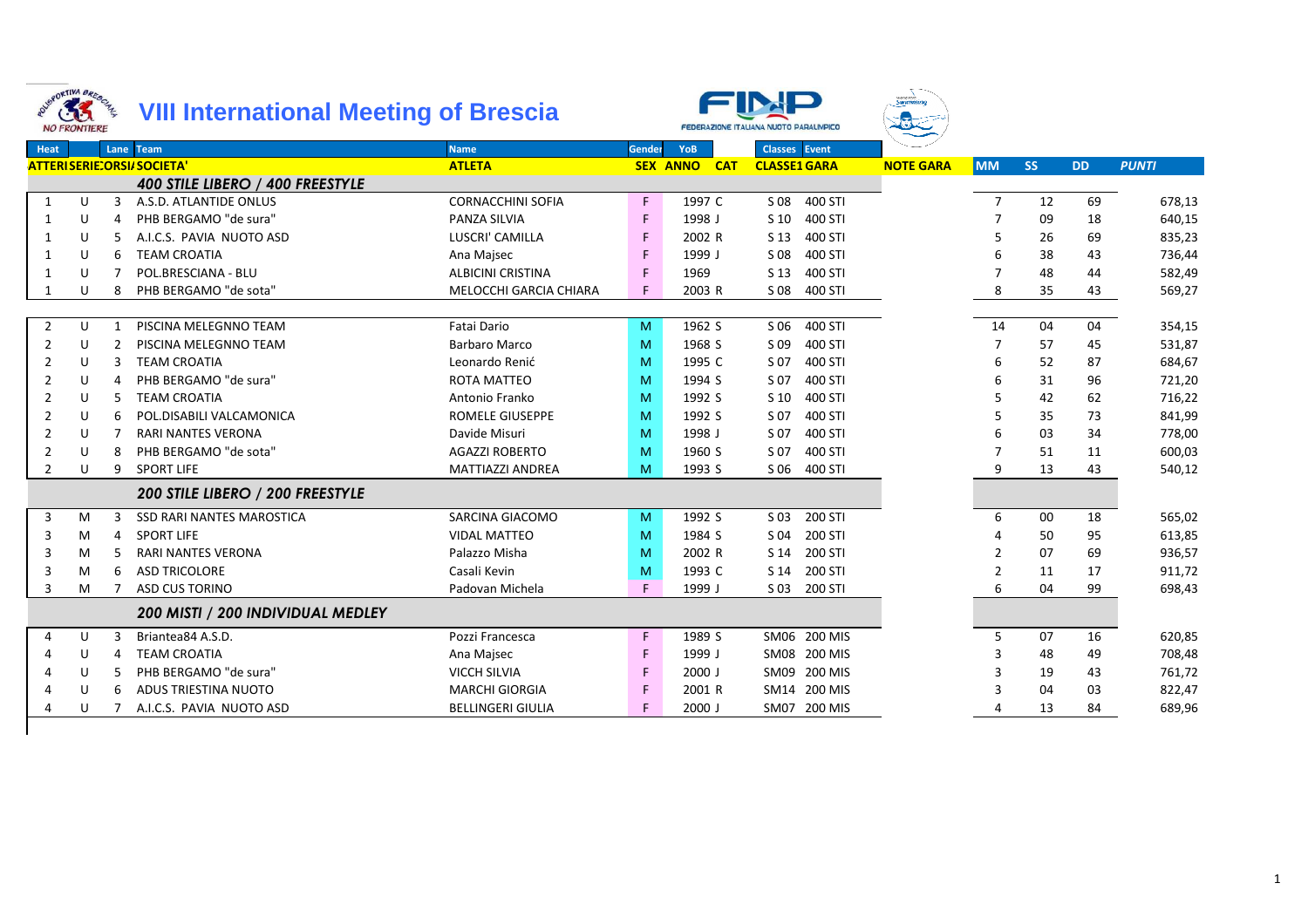



Swimmin

| Heat           |    |    | Lane Team                         | <b>Name</b>              | Gender | <b>YoB</b>          | <b>Classes</b> Event       |                  |                |           |           |              |
|----------------|----|----|-----------------------------------|--------------------------|--------|---------------------|----------------------------|------------------|----------------|-----------|-----------|--------------|
|                |    |    | <b>ATTERISERIE: ORSI/SOCIETA'</b> | <b>ATLETA</b>            |        | <b>SEX ANNO CAT</b> | <b>CLASSE1 GARA</b>        | <b>NOTE GARA</b> | <b>MM</b>      | <b>SS</b> | <b>DD</b> | <b>PUNTI</b> |
|                |    |    | 400 STILE LIBERO / 400 FREESTYLE  |                          |        |                     |                            |                  |                |           |           |              |
| 1              | U  | 3  | A.S.D. ATLANTIDE ONLUS            | <b>CORNACCHINI SOFIA</b> | F.     | 1997 C              | S 08<br>400 STI            |                  | $\overline{7}$ | 12        | 69        | 678,13       |
| -1             | U  |    | PHB BERGAMO "de sura"             | <b>PANZA SILVIA</b>      | F.     | 1998 J              | 400 STI<br>S 10            |                  |                | 09        | 18        | 640,15       |
| $\mathbf{1}$   | U  |    | A.I.C.S. PAVIA NUOTO ASD          | LUSCRI' CAMILLA          | F      | 2002 R              | 400 STI<br>S 13            |                  | 5              | 26        | 69        | 835,23       |
|                | U  | 6  | <b>TEAM CROATIA</b>               | Ana Majsec               | F      | 1999 J              | S 08<br>400 STI            |                  | 6              | 38        | 43        | 736,44       |
| $\mathbf{1}$   | U  |    | POL.BRESCIANA - BLU               | <b>ALBICINI CRISTINA</b> |        | 1969                | 400 STI<br>S 13            |                  |                | 48        | 44        | 582,49       |
|                | U  | 8  | PHB BERGAMO "de sota"             | MELOCCHI GARCIA CHIARA   |        | 2003 R              | S 08<br>400 STI            |                  | 8              | 35        | 43        | 569,27       |
|                |    |    |                                   |                          |        |                     |                            |                  |                |           |           |              |
| $\overline{2}$ | U  | 1  | PISCINA MELEGNNO TEAM             | Fatai Dario              | M      | 1962 S              | S 06<br>400 STI            |                  | 14             | 04        | 04        | 354,15       |
| 2              | -U |    | PISCINA MELEGNNO TEAM             | Barbaro Marco            | M      | 1968 S              | S 09<br>400 STI            |                  |                | 57        | 45        | 531,87       |
| 2              | U  |    | <b>TEAM CROATIA</b>               | Leonardo Renić           | M      | 1995 C              | 400 STI<br>S 07            |                  | 6              | 52        | 87        | 684,67       |
| 2              | U  | 4  | PHB BERGAMO "de sura"             | <b>ROTA MATTEO</b>       | M      | 1994 S              | S 07<br>400 STI            |                  |                | 31        | 96        | 721,20       |
| 2              | U  | .5 | <b>TEAM CROATIA</b>               | Antonio Franko           | M      | 1992 S              | 400 STI<br>S 10            |                  |                | 42        | 62        | 716,22       |
| 2              | U  | 6  | POL.DISABILI VALCAMONICA          | <b>ROMELE GIUSEPPE</b>   | M      | 1992 S              | S 07<br>400 STI            |                  |                | 35        | 73        | 841,99       |
| 2              | U  |    | <b>RARI NANTES VERONA</b>         | Davide Misuri            | M      | 1998 J              | S 07<br>400 STI            |                  |                | 03        | 34        | 778,00       |
| 2              | U  | 8  | PHB BERGAMO "de sota"             | <b>AGAZZI ROBERTO</b>    | M      | 1960 S              | 400 STI<br>S 07            |                  |                | 51        | 11        | 600,03       |
| 2              | U  | 9  | <b>SPORT LIFE</b>                 | <b>MATTIAZZI ANDREA</b>  | M      | 1993 S              | S 06<br>400 STI            |                  | 9              | 13        | 43        | 540,12       |
|                |    |    | 200 STILE LIBERO / 200 FREESTYLE  |                          |        |                     |                            |                  |                |           |           |              |
| 3              | M  |    | <b>SSD RARI NANTES MAROSTICA</b>  | SARCINA GIACOMO          | M      | 1992 S              | 200 STI<br>S <sub>03</sub> |                  | 6              | 00        | 18        | 565,02       |
| 3              | M  | 4  | <b>SPORT LIFE</b>                 | <b>VIDAL MATTEO</b>      | M      | 1984 S              | 200 STI<br>S 04            |                  | Δ              | 50        | 95        | 613,85       |
| 3              | M  |    | <b>RARI NANTES VERONA</b>         | Palazzo Misha            | M      | 2002 R              | 200 STI<br>S 14            |                  | $\mathcal{P}$  | 07        | 69        | 936,57       |
| 3              | M  | 6  | <b>ASD TRICOLORE</b>              | Casali Kevin             | M      | 1993 C              | 200 STI<br>S 14            |                  | $\overline{2}$ | 11        | 17        | 911,72       |
| 3              | M  |    | <b>ASD CUS TORINO</b>             | Padovan Michela          | F.     | 1999 J              | S 03<br>200 STI            |                  | 6              | 04        | 99        | 698,43       |
|                |    |    | 200 MISTI / 200 INDIVIDUAL MEDLEY |                          |        |                     |                            |                  |                |           |           |              |
| 4              | U  | 3  | Briantea84 A.S.D.                 | Pozzi Francesca          | F.     | 1989 S              | SM06 200 MIS               |                  | 5              | 07        | 16        | 620,85       |
|                | U  | 4  | <b>TEAM CROATIA</b>               | Ana Majsec               | F.     | 1999 J              | SM08 200 MIS               |                  | 3              | 48        | 49        | 708,48       |
|                | U  |    | PHB BERGAMO "de sura"             | <b>VICCH SILVIA</b>      | F.     | $2000$ J            | SM09 200 MIS               |                  | 3              | 19        | 43        | 761,72       |
|                | U  | 6  | ADUS TRIESTINA NUOTO              | <b>MARCHI GIORGIA</b>    | F      | 2001 R              | SM14 200 MIS               |                  |                | 04        | 03        | 822,47       |
|                | U  |    | A.I.C.S. PAVIA NUOTO ASD          | <b>BELLINGERI GIULIA</b> |        | 2000 J              | SM07 200 MIS               |                  |                | 13        | 84        | 689,96       |
|                |    |    |                                   |                          |        |                     |                            |                  |                |           |           |              |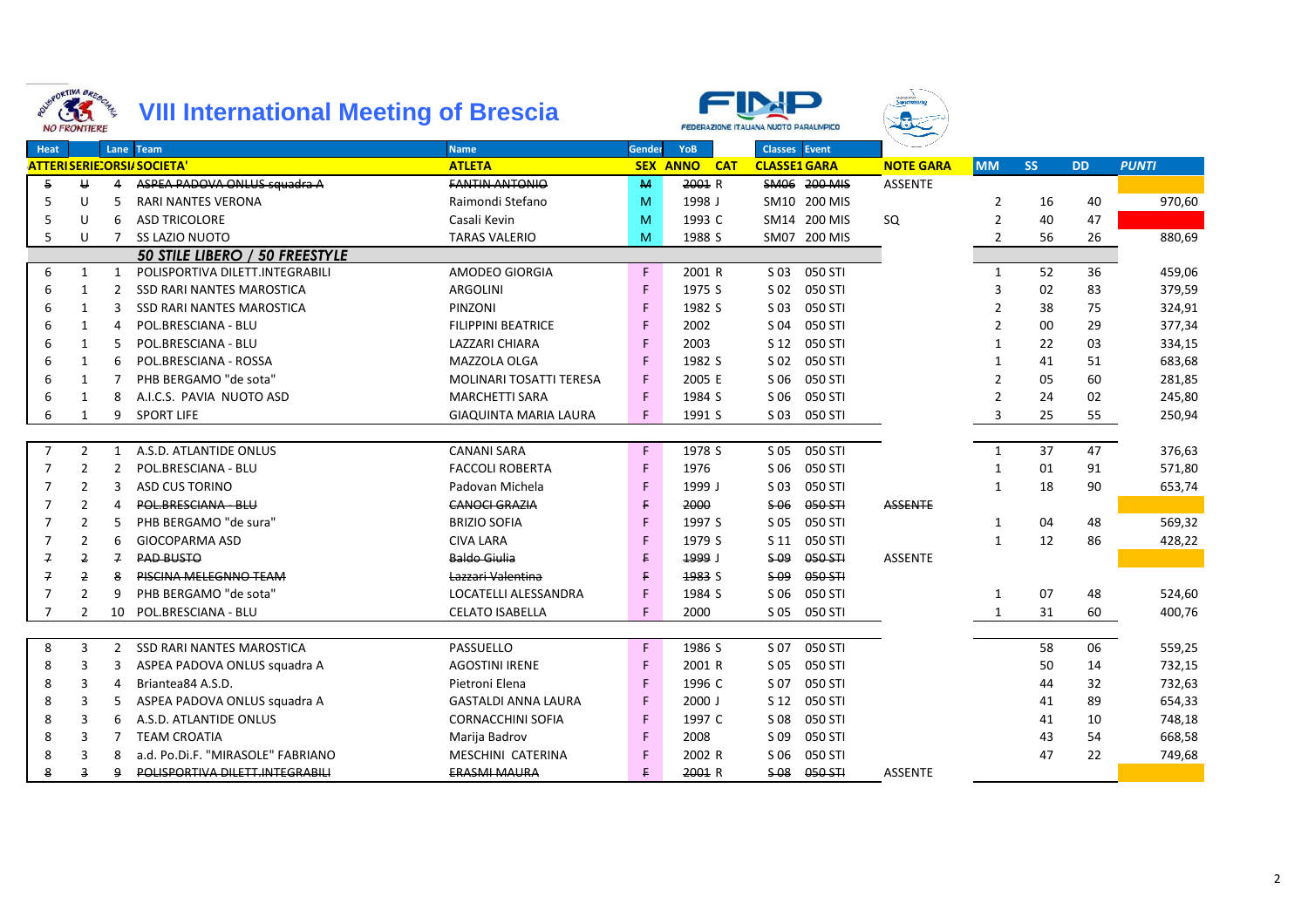|                | GRORTINA BRESCHILL<br>33<br><b>NO FRONTIERE</b> |                | <b>VIII International Meeting of Brescia</b> |                                |        |                               | FEDERAZIONE ITALIANA NUOTO PARALIMPICO |                  |                |           |           |              |
|----------------|-------------------------------------------------|----------------|----------------------------------------------|--------------------------------|--------|-------------------------------|----------------------------------------|------------------|----------------|-----------|-----------|--------------|
| <b>Heat</b>    |                                                 |                | Lane Team                                    | <b>Name</b>                    | Gender | <b>YoB</b>                    | <b>Classes</b> Event                   |                  |                |           |           |              |
|                |                                                 |                | <b>ATTERISERIE:ORSI/SOCIETA'</b>             | <b>ATLETA</b>                  |        | <b>SEX ANNO</b><br><b>CAT</b> | <b>CLASSE1 GARA</b>                    | <b>NOTE GARA</b> | <b>MM</b>      | <b>SS</b> | <b>DD</b> | <b>PUNTI</b> |
| 5              | $\cup$                                          | 4              | ASPEA PADOVA ONLUS squadra A                 | <b>FANTIN ANTONIO</b>          | M      | 2001 R                        | SM06 200 MIS                           | <b>ASSENTE</b>   |                |           |           |              |
| 5              | U                                               | 5              | RARI NANTES VERONA                           | Raimondi Stefano               | M      | 1998 J                        | SM10 200 MIS                           |                  | $\overline{2}$ | 16        | 40        | 970,60       |
| 5              | U                                               | 6              | <b>ASD TRICOLORE</b>                         | Casali Kevin                   | M      | 1993 C                        | SM14 200 MIS                           | SQ               | $\overline{2}$ | 40        | 47        |              |
| 5              | U                                               | $\overline{7}$ | <b>SS LAZIO NUOTO</b>                        | <b>TARAS VALERIO</b>           | M      | 1988 S                        | 200 MIS<br>SM07                        |                  | $\overline{2}$ | 56        | 26        | 880,69       |
|                |                                                 |                | 50 STILE LIBERO / 50 FREESTYLE               |                                |        |                               |                                        |                  |                |           |           |              |
| 6              | $\mathbf{1}$                                    | 1              | POLISPORTIVA DILETT.INTEGRABILI              | AMODEO GIORGIA                 | F.     | 2001 R                        | S 03<br>050 STI                        |                  | $\mathbf{1}$   | 52        | 36        | 459,06       |
| 6              | $\mathbf{1}$                                    | $2^{\circ}$    | <b>SSD RARI NANTES MAROSTICA</b>             | <b>ARGOLINI</b>                | F.     | 1975 S                        | S <sub>02</sub><br>050 STI             |                  | 3              | 02        | 83        | 379,59       |
| 6              | 1                                               | 3              | <b>SSD RARI NANTES MAROSTICA</b>             | PINZONI                        | F.     | 1982 S                        | 050 STI<br>S 03                        |                  | 2              | 38        | 75        | 324,91       |
| 6              | 1                                               | $\overline{4}$ | POL.BRESCIANA - BLU                          | <b>FILIPPINI BEATRICE</b>      | F      | 2002                          | 050 STI<br>S 04                        |                  | $\overline{2}$ | 00        | 29        | 377,34       |
| 6              | $\mathbf{1}$                                    | 5              | POL.BRESCIANA - BLU                          | LAZZARI CHIARA                 | F      | 2003                          | 050 STI<br>S 12                        |                  | $\mathbf{1}$   | 22        | 03        | 334,15       |
| 6              | 1                                               | 6              | POL.BRESCIANA - ROSSA                        | MAZZOLA OLGA                   | F      | 1982 S                        | 050 STI<br>S 02                        |                  | $\mathbf{1}$   | 41        | 51        | 683,68       |
| 6              | $\mathbf{1}$                                    | 7              | PHB BERGAMO "de sota"                        | <b>MOLINARI TOSATTI TERESA</b> | F      | 2005 E                        | 050 STI<br>S 06                        |                  | $\overline{2}$ | 05        | 60        | 281,85       |
| 6              | 1                                               | 8              | A.I.C.S. PAVIA NUOTO ASD                     | <b>MARCHETTI SARA</b>          | F      | 1984 S                        | 050 STI<br>S 06                        |                  | $\mathfrak{p}$ | 24        | 02        | 245,80       |
| 6              | 1                                               | 9              | <b>SPORT LIFE</b>                            | <b>GIAQUINTA MARIA LAURA</b>   | F.     | 1991 S                        | S 03<br>050 STI                        |                  | 3              | 25        | 55        | 250,94       |
|                |                                                 |                |                                              |                                |        |                               |                                        |                  |                |           |           |              |
| $\overline{7}$ | $\overline{2}$                                  | 1              | A.S.D. ATLANTIDE ONLUS                       | <b>CANANI SARA</b>             | F.     | 1978 S                        | 050 STI<br>S 05                        |                  | $\mathbf{1}$   | 37        | 47        | 376,63       |
| 7              | $\overline{2}$                                  | $\overline{2}$ | POL.BRESCIANA - BLU                          | <b>FACCOLI ROBERTA</b>         | F.     | 1976                          | 050 STI<br>S 06                        |                  | 1              | 01        | 91        | 571,80       |
| 7              | $\overline{2}$                                  | 3              | <b>ASD CUS TORINO</b>                        | Padovan Michela                | F      | 1999 J                        | 050 STI<br>S 03                        |                  | 1              | 18        | 90        | 653,74       |
| $\overline{7}$ | $\mathfrak{p}$                                  | 4              | POL.BRESCIANA - BLU                          | <b>CANOCL GRAZIA</b>           | F      | 2000                          | 050-STI<br>\$06                        | <b>ASSENTE</b>   |                |           |           |              |
| 7              | $\overline{2}$                                  | 5              | PHB BERGAMO "de sura"                        | <b>BRIZIO SOFIA</b>            | F      | 1997 S                        | 050 STI<br>S 05                        |                  | $\mathbf{1}$   | 04        | 48        | 569,32       |
| 7              | $\overline{2}$                                  | 6              | <b>GIOCOPARMA ASD</b>                        | <b>CIVA LARA</b>               | F      | 1979 S                        | 050 STI<br>S 11                        |                  | $\mathbf{1}$   | 12        | 86        | 428,22       |
| $\overline{f}$ | $\overline{2}$                                  | $\overline{f}$ | <b>PAD BUSTO</b>                             | <b>Baldo Giulia</b>            | E      | 1999 J                        | $S-09$<br>050 STI                      | <b>ASSENTE</b>   |                |           |           |              |
| 7              | 2                                               | 8              | <b>PISCINA MELEGNNO TEAM</b>                 | Lazzari Valentina              | E      | 1983 S                        | $S$ 09<br>050 STI                      |                  |                |           |           |              |
| 7              | $\mathcal{P}$                                   | q              | PHB BERGAMO "de sota"                        | LOCATELLI ALESSANDRA           | F      | 1984 S                        | 050 STI<br>S 06                        |                  | $\mathbf{1}$   | 07        | 48        | 524,60       |
| 7              | $\overline{2}$                                  | 10             | POL.BRESCIANA - BLU                          | <b>CELATO ISABELLA</b>         | F      | 2000                          | 050 STI<br>S 05                        |                  | 1              | 31        | 60        | 400,76       |
|                |                                                 |                |                                              |                                |        |                               |                                        |                  |                |           |           |              |
| 8              | 3                                               | $\overline{2}$ | <b>SSD RARI NANTES MAROSTICA</b>             | PASSUELLO                      | F.     | 1986 S                        | S 07<br>050 STI                        |                  |                | 58        | 06        | 559,25       |
| 8              | 3                                               | 3              | ASPEA PADOVA ONLUS squadra A                 | <b>AGOSTINI IRENE</b>          | F.     | 2001 R                        | 050 STI<br>S 05                        |                  |                | 50        | 14        | 732,15       |
| 8              | 3                                               | 4              | Briantea84 A.S.D.                            | Pietroni Elena                 | F.     | 1996 C                        | 050 STI<br>S 07                        |                  |                | 44        | 32        | 732,63       |
| 8              | 3                                               | 5              | ASPEA PADOVA ONLUS squadra A                 | <b>GASTALDI ANNA LAURA</b>     | F      | 2000 J                        | 050 STI<br>S 12                        |                  |                | 41        | 89        | 654,33       |
| 8              | 3                                               | 6              | A.S.D. ATLANTIDE ONLUS                       | <b>CORNACCHINI SOFIA</b>       | F.     | 1997 C                        | 050 STI<br>S 08                        |                  |                | 41        | 10        | 748,18       |
| 8              | 3                                               | 7              | <b>TEAM CROATIA</b>                          | Marija Badrov                  | F.     | 2008                          | 050 STI<br>S 09                        |                  |                | 43        | 54        | 668,58       |
| 8              | 3                                               | 8              | a.d. Po.Di.F. "MIRASOLE" FABRIANO            | MESCHINI CATERINA              | F      | 2002 R                        | 050 STI<br>S 06                        |                  |                | 47        | 22        | 749,68       |
| 8              | 3                                               | 9              | POLISPORTIVA DILETT.INTEGRABILI              | <b>ERASMI MAURA</b>            | E      | 2001 R                        | $S-08$<br>050 STI                      | <b>ASSENTE</b>   |                |           |           |              |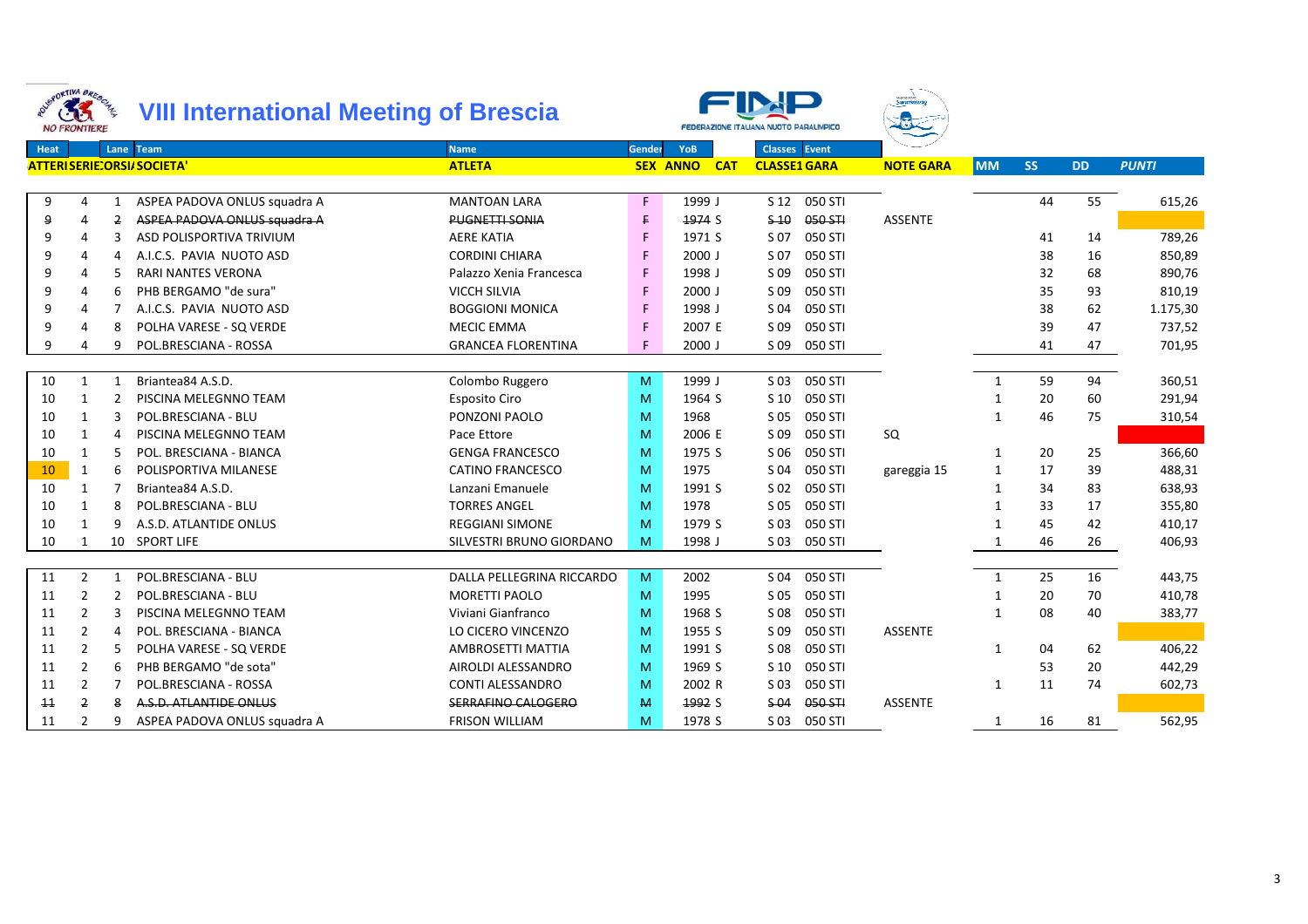|      | GRORTINA BRESCHL<br>33<br><b>NO FRONTIERE</b> |                | <b>VIII International Meeting of Brescia</b> |                           |        |                               | FEDERAZIONE ITALIANA NUOTO PARALIMPICO |                  |              |           |           |              |
|------|-----------------------------------------------|----------------|----------------------------------------------|---------------------------|--------|-------------------------------|----------------------------------------|------------------|--------------|-----------|-----------|--------------|
| Heat |                                               |                | Lane Team                                    | <b>Name</b>               | Gender | YoB                           | <b>Classes</b> Event                   |                  |              |           |           |              |
|      |                                               |                | <b>ATTERISERIE:ORSI/SOCIETA'</b>             | <b>ATLETA</b>             |        | <b>SEX ANNO</b><br><b>CAT</b> | <b>CLASSE1 GARA</b>                    | <b>NOTE GARA</b> | <b>MM</b>    | <b>SS</b> | <b>DD</b> | <b>PUNTI</b> |
|      |                                               |                |                                              |                           |        |                               |                                        |                  |              |           |           |              |
| 9    | 4                                             | 1              | ASPEA PADOVA ONLUS squadra A                 | <b>MANTOAN LARA</b>       | F.     | 1999 J                        | S <sub>12</sub><br>050 STI             |                  |              | 44        | 55        | 615,26       |
| 9    | 4                                             | $\overline{2}$ | ASPEA PADOVA ONLUS squadra A                 | <b>PUGNETTI SONIA</b>     | F.     | 1974 S                        | \$40<br>050 STI                        | <b>ASSENTE</b>   |              |           |           |              |
| 9    | 4                                             | 3              | ASD POLISPORTIVA TRIVIUM                     | <b>AERE KATIA</b>         | F      | 1971 S                        | S 07<br>050 STI                        |                  |              | 41        | 14        | 789,26       |
| 9    | 4                                             | 4              | A.I.C.S. PAVIA NUOTO ASD                     | <b>CORDINI CHIARA</b>     | F      | $2000$ J                      | S 07<br>050 STI                        |                  |              | 38        | 16        | 850,89       |
| 9    | 4                                             |                | RARI NANTES VERONA                           | Palazzo Xenia Francesca   | F.     | 1998 J                        | S 09<br>050 STI                        |                  |              | 32        | 68        | 890,76       |
| 9    | 4                                             | 6              | PHB BERGAMO "de sura"                        | <b>VICCH SILVIA</b>       | F.     | $2000$ J                      | S 09<br>050 STI                        |                  |              | 35        | 93        | 810,19       |
| 9    | 4                                             |                | A.I.C.S. PAVIA NUOTO ASD                     | <b>BOGGIONI MONICA</b>    | F      | 1998 J                        | S 04<br>050 STI                        |                  |              | 38        | 62        | 1.175,30     |
| 9    | 4                                             | 8              | POLHA VARESE - SQ VERDE                      | <b>MECIC EMMA</b>         | F      | 2007 E                        | S 09<br>050 STI                        |                  |              | 39        | 47        | 737,52       |
| 9    |                                               | q              | POL.BRESCIANA - ROSSA                        | <b>GRANCEA FLORENTINA</b> | F      | $2000$ J                      | S 09<br>050 STI                        |                  |              | 41        | 47        | 701,95       |
|      |                                               |                |                                              |                           |        |                               |                                        |                  |              |           |           |              |
| 10   | $\mathbf{1}$                                  | $\mathbf{1}$   | Briantea84 A.S.D.                            | Colombo Ruggero           | M      | 1999 J                        | $S$ 03<br>050 STI                      |                  | $\mathbf{1}$ | 59        | 94        | 360,51       |
| 10   | $\mathbf{1}$                                  | $\overline{2}$ | PISCINA MELEGNNO TEAM                        | <b>Esposito Ciro</b>      | M      | 1964 S                        | 050 STI<br>S <sub>10</sub>             |                  | $\mathbf{1}$ | 20        | 60        | 291,94       |
| 10   | 1                                             | 3              | POL.BRESCIANA - BLU                          | PONZONI PAOLO             | M      | 1968                          | 050 STI<br>S 05                        |                  | $\mathbf{1}$ | 46        | 75        | 310,54       |
| 10   | $\mathbf{1}$                                  | 4              | PISCINA MELEGNNO TEAM                        | Pace Ettore               | M      | 2006 E                        | S 09<br>050 STI                        | SQ               |              |           |           |              |
| 10   | 1                                             | 5              | POL. BRESCIANA - BIANCA                      | <b>GENGA FRANCESCO</b>    | M      | 1975 S                        | 050 STI<br>S 06                        |                  | -1           | 20        | 25        | 366,60       |
| 10   | 1                                             | 6              | POLISPORTIVA MILANESE                        | <b>CATINO FRANCESCO</b>   | M      | 1975                          | 050 STI<br>S 04                        | gareggia 15      | -1           | 17        | 39        | 488,31       |
| 10   | 1                                             |                | Briantea84 A.S.D.                            | Lanzani Emanuele          | M      | 1991 S                        | S <sub>02</sub><br>050 STI             |                  | -1           | 34        | 83        | 638,93       |
| 10   | 1                                             | 8              | POL.BRESCIANA - BLU                          | <b>TORRES ANGEL</b>       | M      | 1978                          | S 05<br>050 STI                        |                  |              | 33        | 17        | 355,80       |
| 10   | $\mathbf{1}$                                  | 9              | A.S.D. ATLANTIDE ONLUS                       | <b>REGGIANI SIMONE</b>    | M      | 1979 S                        | 050 STI<br>S <sub>03</sub>             |                  |              | 45        | 42        | 410,17       |
| 10   | 1                                             |                | 10 SPORT LIFE                                | SILVESTRI BRUNO GIORDANO  | M      | 1998 J                        | S 03<br>050 STI                        |                  |              | 46        | 26        | 406,93       |
|      |                                               |                |                                              |                           |        |                               |                                        |                  |              |           |           |              |
| 11   | $\overline{2}$                                | 1              | POL.BRESCIANA - BLU                          | DALLA PELLEGRINA RICCARDO | M      | 2002                          | 050 STI<br>S 04                        |                  | $\mathbf{1}$ | 25        | 16        | 443,75       |
| 11   | $\overline{2}$                                | 2              | POL.BRESCIANA - BLU                          | <b>MORETTI PAOLO</b>      | M      | 1995                          | 050 STI<br>S 05                        |                  | 1            | 20        | 70        | 410,78       |
| 11   | $\overline{2}$                                | 3              | PISCINA MELEGNNO TEAM                        | Viviani Gianfranco        | M      | 1968 S                        | 050 STI<br>S 08                        |                  | $\mathbf{1}$ | 08        | 40        | 383,77       |
| 11   | $\overline{2}$                                | 4              | POL. BRESCIANA - BIANCA                      | LO CICERO VINCENZO        | M      | 1955 S                        | 050 STI<br>S 09                        | <b>ASSENTE</b>   |              |           |           |              |
| 11   | $\overline{2}$                                | 5              | POLHA VARESE - SQ VERDE                      | AMBROSETTI MATTIA         | M      | 1991 S                        | S 08<br>050 STI                        |                  | $\mathbf{1}$ | 04        | 62        | 406,22       |
| 11   | $\overline{2}$                                | 6              | PHB BERGAMO "de sota"                        | <b>AIROLDI ALESSANDRO</b> | M      | 1969 S                        | S <sub>10</sub><br>050 STI             |                  |              | 53        | 20        | 442,29       |
| 11   | $\overline{2}$                                | 7              | POL.BRESCIANA - ROSSA                        | <b>CONTI ALESSANDRO</b>   | M      | 2002 R                        | S <sub>03</sub><br>050 STI             |                  | $\mathbf{1}$ | 11        | 74        | 602,73       |
| 11   | 2                                             | 8              | A.S.D. ATLANTIDE ONLUS                       | <b>SERRAFINO CALOGERO</b> | M      | 1992 S                        | 050 STI<br>S <sub>04</sub>             | <b>ASSENTE</b>   |              |           |           |              |
| 11   | $\mathfrak{p}$                                | 9              | ASPEA PADOVA ONLUS squadra A                 | <b>FRISON WILLIAM</b>     | M      | 1978 S                        | S 03<br>050 STI                        |                  | 1            | 16        | 81        | 562,95       |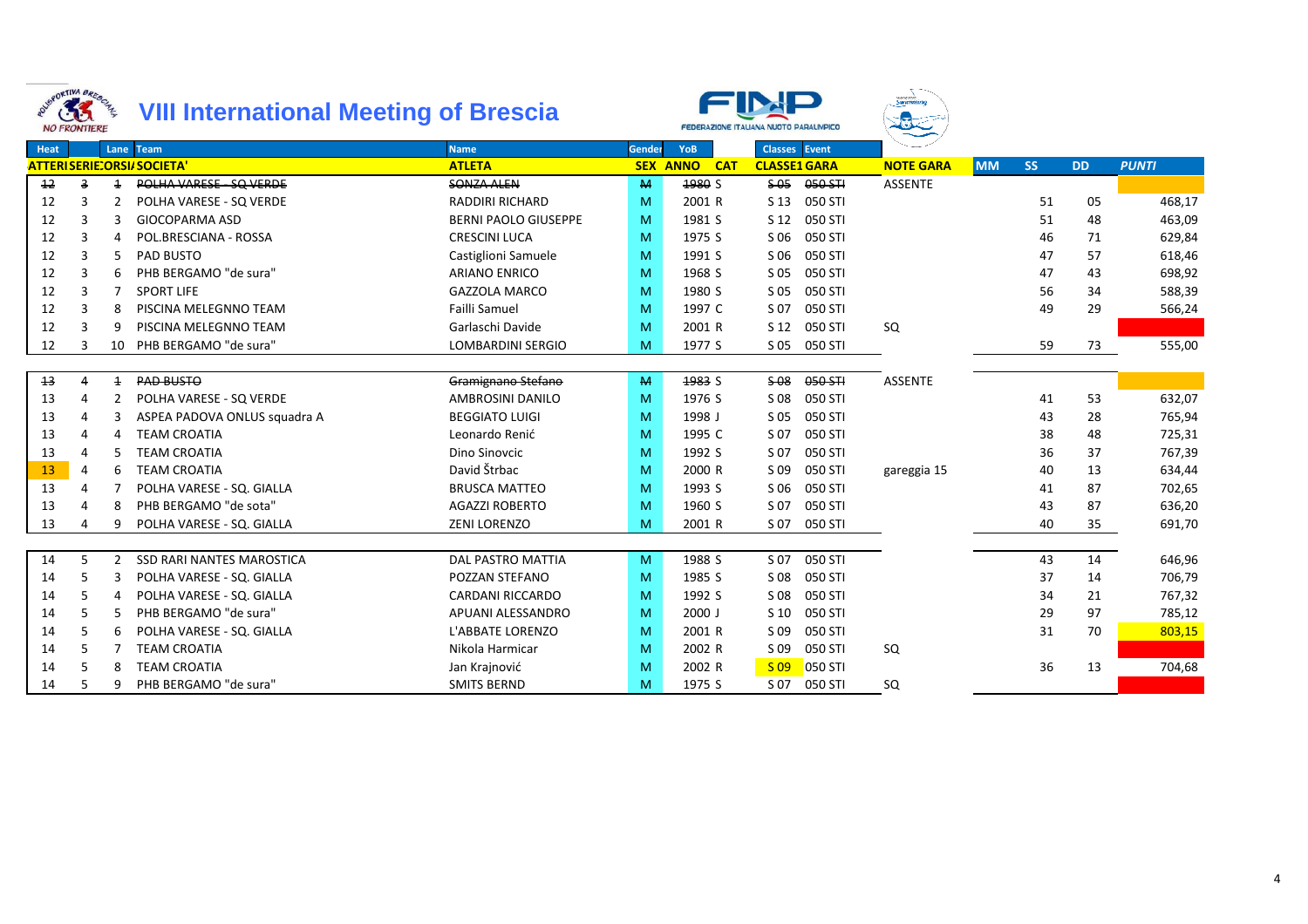



| BROKTINA BREBON<br><b>NO FRONTIERE</b> | 33 |                | <b>VIII International Meeting of Brescia</b> |                             |        |                               | <b>FEDERAZIONE ITALIANA NUOTO PARALIMPICO</b> | wong paig.<br><b>Swimming</b> |           |           |           |              |
|----------------------------------------|----|----------------|----------------------------------------------|-----------------------------|--------|-------------------------------|-----------------------------------------------|-------------------------------|-----------|-----------|-----------|--------------|
| Heat                                   |    |                | Lane Team                                    | <b>Name</b>                 | Gender | YoB                           | <b>Classes</b> Event                          |                               |           |           |           |              |
|                                        |    |                | <b>ATTERISERIE:ORSI/SOCIETA'</b>             | <b>ATLETA</b>               |        | <b>SEX ANNO</b><br><b>CAT</b> | <b>CLASSE1 GARA</b>                           | <b>NOTE GARA</b>              | <b>MM</b> | <b>SS</b> | <b>DD</b> | <b>PUNTI</b> |
| 12                                     | 3  | $\overline{1}$ | POLHA VARESE - SQ VERDE                      | <b>SONZA ALEN</b>           | M      | 1980 S                        | $S-05$<br>050 STI                             | <b>ASSENTE</b>                |           |           |           |              |
| 12                                     | 3  | 2              | POLHA VARESE - SQ VERDE                      | <b>RADDIRI RICHARD</b>      | M      | 2001 R                        | S 13<br>050 STI                               |                               |           | 51        | 05        | 468,17       |
| 12                                     | 3  | 3              | <b>GIOCOPARMA ASD</b>                        | <b>BERNI PAOLO GIUSEPPE</b> | M      | 1981 S                        | S 12<br>050 STI                               |                               |           | 51        | 48        | 463,09       |
| 12                                     | 3  |                | POL.BRESCIANA - ROSSA                        | <b>CRESCINI LUCA</b>        | M      | 1975 S                        | 050 STI<br>S 06                               |                               |           | 46        | 71        | 629,84       |
| 12                                     | 3  | 5              | PAD BUSTO                                    | Castiglioni Samuele         | M      | 1991 S                        | S 06<br>050 STI                               |                               |           | 47        | 57        | 618,46       |
| 12                                     | 3  | 6              | PHB BERGAMO "de sura"                        | <b>ARIANO ENRICO</b>        | M      | 1968 S                        | 050 STI<br>S 05                               |                               |           | 47        | 43        | 698,92       |
| 12                                     | 3  | 7              | <b>SPORT LIFE</b>                            | <b>GAZZOLA MARCO</b>        | M      | 1980 S                        | 050 STI<br>S 05                               |                               |           | 56        | 34        | 588,39       |
| 12                                     | 3  | 8              | PISCINA MELEGNNO TEAM                        | <b>Failli Samuel</b>        | M      | 1997 C                        | S 07<br>050 STI                               |                               |           | 49        | 29        | 566,24       |
| 12                                     | 3  | q              | PISCINA MELEGNNO TEAM                        | Garlaschi Davide            | M      | 2001 R                        | S 12<br>050 STI                               | SQ                            |           |           |           |              |
| 12                                     | 3  |                | 10 PHB BERGAMO "de sura"                     | <b>LOMBARDINI SERGIO</b>    | M      | 1977 S                        | 050 STI<br>S 05                               |                               |           | 59        | 73        | 555,00       |
|                                        |    |                |                                              |                             |        |                               |                                               |                               |           |           |           |              |
| 13                                     | 4  | $\overline{1}$ | <b>PAD BUSTO</b>                             | Gramignano Stefano          | M      | 1983 S                        | $$-08$<br>050 STI                             | <b>ASSENTE</b>                |           |           |           |              |
| 13                                     | 4  | 2              | POLHA VARESE - SQ VERDE                      | AMBROSINI DANILO            | M      | 1976 S                        | S 08<br>050 STI                               |                               |           | 41        | 53        | 632,07       |
| 13                                     | 4  | 3              | ASPEA PADOVA ONLUS squadra A                 | <b>BEGGIATO LUIGI</b>       | M      | 1998 J                        | S 05<br>050 STI                               |                               |           | 43        | 28        | 765,94       |
| 13                                     | 4  | 4              | <b>TEAM CROATIA</b>                          | Leonardo Renić              | M      | 1995 C                        | S 07<br>050 STI                               |                               |           | 38        | 48        | 725,31       |
| 13                                     | 4  |                | <b>TEAM CROATIA</b>                          | Dino Sinovcic               | M      | 1992 S                        | S 07<br>050 STI                               |                               |           | 36        | 37        | 767,39       |
| 13                                     | 4  | 6              | <b>TEAM CROATIA</b>                          | David Štrbac                | M      | 2000 R                        | S 09<br>050 STI                               | gareggia 15                   |           | 40        | 13        | 634,44       |
| 13                                     | 4  |                | POLHA VARESE - SQ. GIALLA                    | <b>BRUSCA MATTEO</b>        | M      | 1993 S                        | 050 STI<br>S 06                               |                               |           | 41        | 87        | 702,65       |
| 13                                     | Δ  |                | PHB BERGAMO "de sota"                        | <b>AGAZZI ROBERTO</b>       | M      | 1960 S                        | 050 STI<br>S 07                               |                               |           | 43        | 87        | 636,20       |
| 13                                     | 4  |                | POLHA VARESE - SQ. GIALLA                    | <b>ZENI LORENZO</b>         | M      | 2001 R                        | S 07<br>050 STI                               |                               |           | 40        | 35        | 691,70       |
|                                        |    |                |                                              |                             |        |                               |                                               |                               |           |           |           |              |
| 14                                     | 5. | 2              | <b>SSD RARI NANTES MAROSTICA</b>             | <b>DAL PASTRO MATTIA</b>    | M      | 1988 S                        | S 07<br>050 STI                               |                               |           | 43        | 14        | 646,96       |
| 14                                     | 5  | 3              | POLHA VARESE - SQ. GIALLA                    | POZZAN STEFANO              | M      | 1985 S                        | 050 STI<br>S 08                               |                               |           | 37        | 14        | 706,79       |
| 14                                     | 5  |                | POLHA VARESE - SQ. GIALLA                    | <b>CARDANI RICCARDO</b>     | M      | 1992 S                        | S 08<br>050 STI                               |                               |           | 34        | 21        | 767,32       |
| 14                                     | 5  | 5              | PHB BERGAMO "de sura"                        | APUANI ALESSANDRO           | M      | $2000$ J                      | 050 STI<br>S <sub>10</sub>                    |                               |           | 29        | 97        | 785,12       |
| 14                                     | 5  | 6              | POLHA VARESE - SQ. GIALLA                    | L'ABBATE LORENZO            | M      | 2001 R                        | S 09<br>050 STI                               |                               |           | 31        | 70        | 803,15       |
| 14                                     | 5  |                | <b>TEAM CROATIA</b>                          | Nikola Harmicar             | M      | 2002 R                        | S 09<br>050 STI                               | SQ                            |           |           |           |              |
| 14                                     | 5  | 8              | <b>TEAM CROATIA</b>                          | Jan Krajnović               | M      | 2002 R                        | 050 STI<br>$S$ 09                             |                               |           | 36        | 13        | 704,68       |
| 14                                     | 5  | q              | PHB BERGAMO "de sura"                        | <b>SMITS BERND</b>          | M      | 1975 S                        | S 07<br>050 STI                               | SQ                            |           |           |           |              |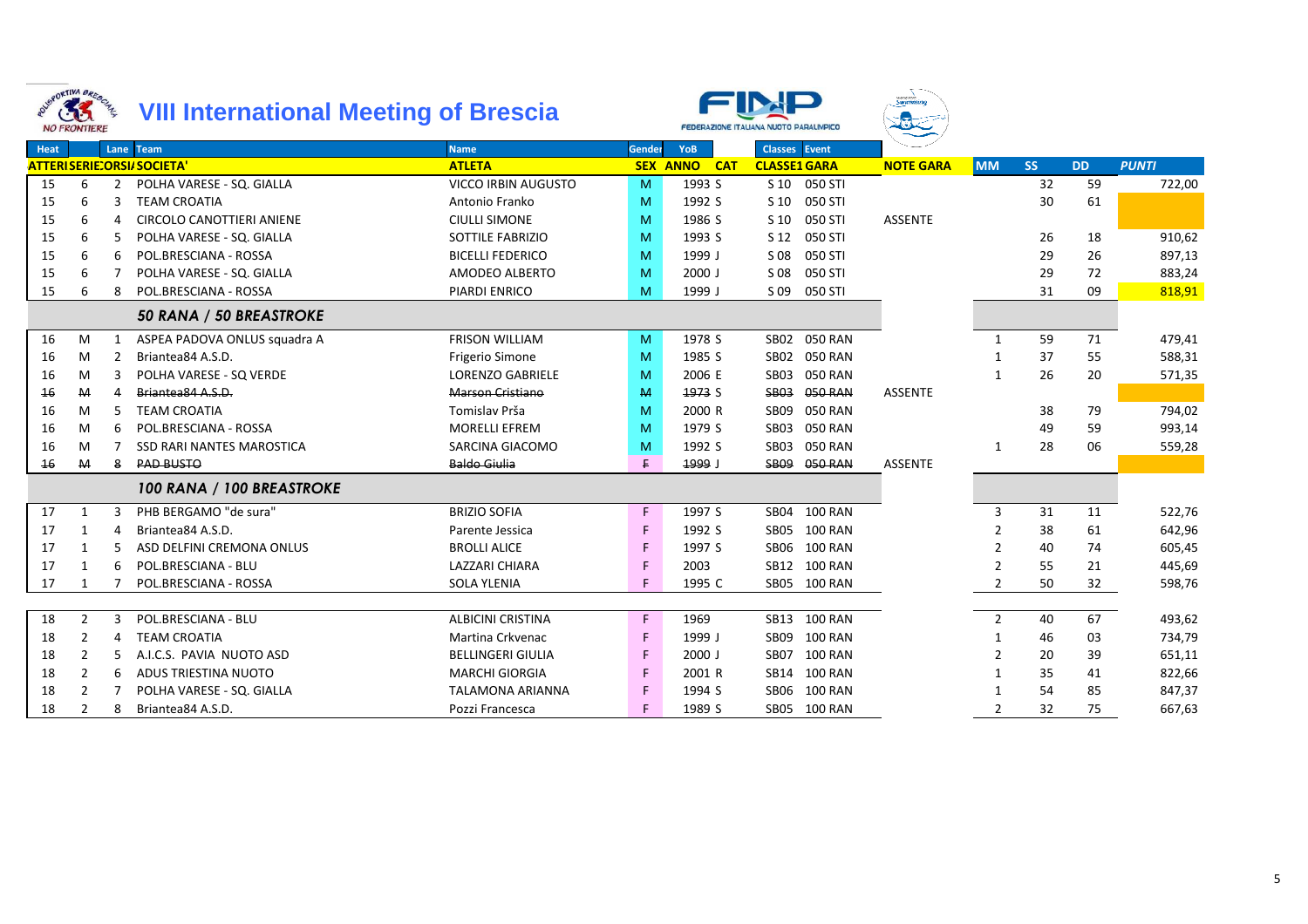



**Swimming** 

|             | <b><i>IYU FAUNTIERE</i></b> |   |                                  |                            |          |                        |                               |                  |                |           |           |              |
|-------------|-----------------------------|---|----------------------------------|----------------------------|----------|------------------------|-------------------------------|------------------|----------------|-----------|-----------|--------------|
| <b>Heat</b> |                             |   | Lane Team                        | <b>Name</b>                | Gender   | YoB                    | <b>Classes</b> Event          |                  |                |           |           |              |
|             |                             |   | <b>ATTERISERIE:ORSI/SOCIETA'</b> | <b>ATLETA</b>              |          | <b>SEX ANNO</b><br>CAT | <b>CLASSE1 GARA</b>           | <b>NOTE GARA</b> | <b>MM</b>      | <b>SS</b> | <b>DD</b> | <b>PUNTI</b> |
| 15          | 6                           | 2 | POLHA VARESE - SQ. GIALLA        | <b>VICCO IRBIN AUGUSTO</b> | <b>M</b> | 1993 S                 | S 10 050 STI                  |                  |                | 32        | 59        | 722,00       |
| 15          |                             |   | <b>TEAM CROATIA</b>              | Antonio Franko             | M        | 1992 S                 | S 10<br>050 STI               |                  |                | 30        | 61        |              |
| 15          | 6                           |   | CIRCOLO CANOTTIERI ANIENE        | <b>CIULLI SIMONE</b>       | M        | 1986 S                 | 050 STI<br>S 10               | <b>ASSENTE</b>   |                |           |           |              |
| 15          | 6                           | 5 | POLHA VARESE - SQ. GIALLA        | <b>SOTTILE FABRIZIO</b>    | M        | 1993 S                 | S 12<br>050 STI               |                  |                | 26        | 18        | 910,62       |
| 15          | 6                           | 6 | POL.BRESCIANA - ROSSA            | <b>BICELLI FEDERICO</b>    | M        | 1999 J                 | S 08<br>050 STI               |                  |                | 29        | 26        | 897,13       |
| 15          | 6                           |   | POLHA VARESE - SQ. GIALLA        | AMODEO ALBERTO             | M        | $2000$ J               | 050 STI<br>S 08               |                  |                | 29        | 72        | 883,24       |
| 15          | 6                           | 8 | POL.BRESCIANA - ROSSA            | <b>PIARDI ENRICO</b>       | M        | 1999 J                 | S 09<br>050 STI               |                  |                | 31        | 09        | 818,91       |
|             |                             |   | 50 RANA / 50 BREASTROKE          |                            |          |                        |                               |                  |                |           |           |              |
| 16          | M                           |   | ASPEA PADOVA ONLUS squadra A     | <b>FRISON WILLIAM</b>      | M        | 1978 S                 | SB02 050 RAN                  |                  | $\mathbf{1}$   | 59        | 71        | 479,41       |
| 16          | M                           | 2 | Briantea84 A.S.D.                | <b>Frigerio Simone</b>     | M        | 1985 S                 | 050 RAN<br>SB <sub>02</sub>   |                  |                | 37        | 55        | 588,31       |
| 16          | M                           |   | POLHA VARESE - SQ VERDE          | <b>LORENZO GABRIELE</b>    | M        | 2006 E                 | 050 RAN<br>SB <sub>03</sub>   |                  | 1              | 26        | 20        | 571,35       |
| 16          | M                           |   | Briantea84 A.S.D.                | <b>Marson Cristiano</b>    | M        | 1973 S                 | 050 RAN<br><b>SB03</b>        | <b>ASSENTE</b>   |                |           |           |              |
| 16          | M                           | 5 | <b>TEAM CROATIA</b>              | Tomislav Prša              | M        | 2000 R                 | <b>050 RAN</b><br><b>SB09</b> |                  |                | 38        | 79        | 794,02       |
| 16          | M                           | 6 | POL.BRESCIANA - ROSSA            | <b>MORELLI EFREM</b>       | M        | 1979 S                 | 050 RAN<br>SB <sub>03</sub>   |                  |                | 49        | 59        | 993,14       |
| 16          | M                           |   | <b>SSD RARI NANTES MAROSTICA</b> | SARCINA GIACOMO            | M        | 1992 S                 | SB03<br>050 RAN               |                  | $\mathbf{1}$   | 28        | 06        | 559,28       |
| 16          | M                           | 8 | <b>PAD BUSTO</b>                 | <b>Baldo Giulia</b>        | F.       | ر 1999                 | <b>SB09</b><br>050 RAN        | <b>ASSENTE</b>   |                |           |           |              |
|             |                             |   | 100 RANA / 100 BREASTROKE        |                            |          |                        |                               |                  |                |           |           |              |
| 17          | 1                           |   | PHB BERGAMO "de sura"            | <b>BRIZIO SOFIA</b>        | F.       | 1997 S                 | SB04 100 RAN                  |                  | 3              | 31        | 11        | 522,76       |
| 17          | 1                           | Δ | Briantea84 A.S.D.                | Parente Jessica            | F.       | 1992 S                 | SB05 100 RAN                  |                  | 2              | 38        | 61        | 642,96       |
| 17          | 1                           |   | ASD DELFINI CREMONA ONLUS        | <b>BROLLI ALICE</b>        | F        | 1997 S                 | SB06 100 RAN                  |                  |                | 40        | 74        | 605,45       |
| 17          | -1                          |   | POL.BRESCIANA - BLU              | <b>LAZZARI CHIARA</b>      | F        | 2003                   | SB12 100 RAN                  |                  |                | 55        | 21        | 445,69       |
| 17          |                             |   | POL.BRESCIANA - ROSSA            | <b>SOLA YLENIA</b>         | F.       | 1995 C                 | SB05 100 RAN                  |                  | $\mathcal{P}$  | 50        | 32        | 598,76       |
|             |                             |   |                                  |                            |          |                        |                               |                  |                |           |           |              |
| 18          | $\overline{2}$              | 3 | POL.BRESCIANA - BLU              | <b>ALBICINI CRISTINA</b>   | F.       | 1969                   | SB13 100 RAN                  |                  | $\overline{2}$ | 40        | 67        | 493,62       |
| 18          | $\overline{2}$              | 4 | <b>TEAM CROATIA</b>              | Martina Crkvenac           | F        | 1999 J                 | SB09<br>100 RAN               |                  | 1              | 46        | 03        | 734,79       |
| 18          | $\overline{2}$              |   | A.I.C.S. PAVIA NUOTO ASD         | <b>BELLINGERI GIULIA</b>   | F        | 2000 J                 | SB07 100 RAN                  |                  | $\mathcal{P}$  | 20        | 39        | 651,11       |
| 18          | 2                           | 6 | ADUS TRIESTINA NUOTO             | <b>MARCHI GIORGIA</b>      | F        | 2001 R                 | SB14 100 RAN                  |                  |                | 35        | 41        | 822,66       |
| 18          | 2                           |   | POLHA VARESE - SQ. GIALLA        | <b>TALAMONA ARIANNA</b>    | F        | 1994 S                 | SB06 100 RAN                  |                  |                | 54        | 85        | 847,37       |
| 18          | 2                           | 8 | Briantea84 A.S.D.                | Pozzi Francesca            | F        | 1989 S                 | SB05 100 RAN                  |                  | 2              | 32        | 75        | 667,63       |
|             |                             |   |                                  |                            |          |                        |                               |                  |                |           |           |              |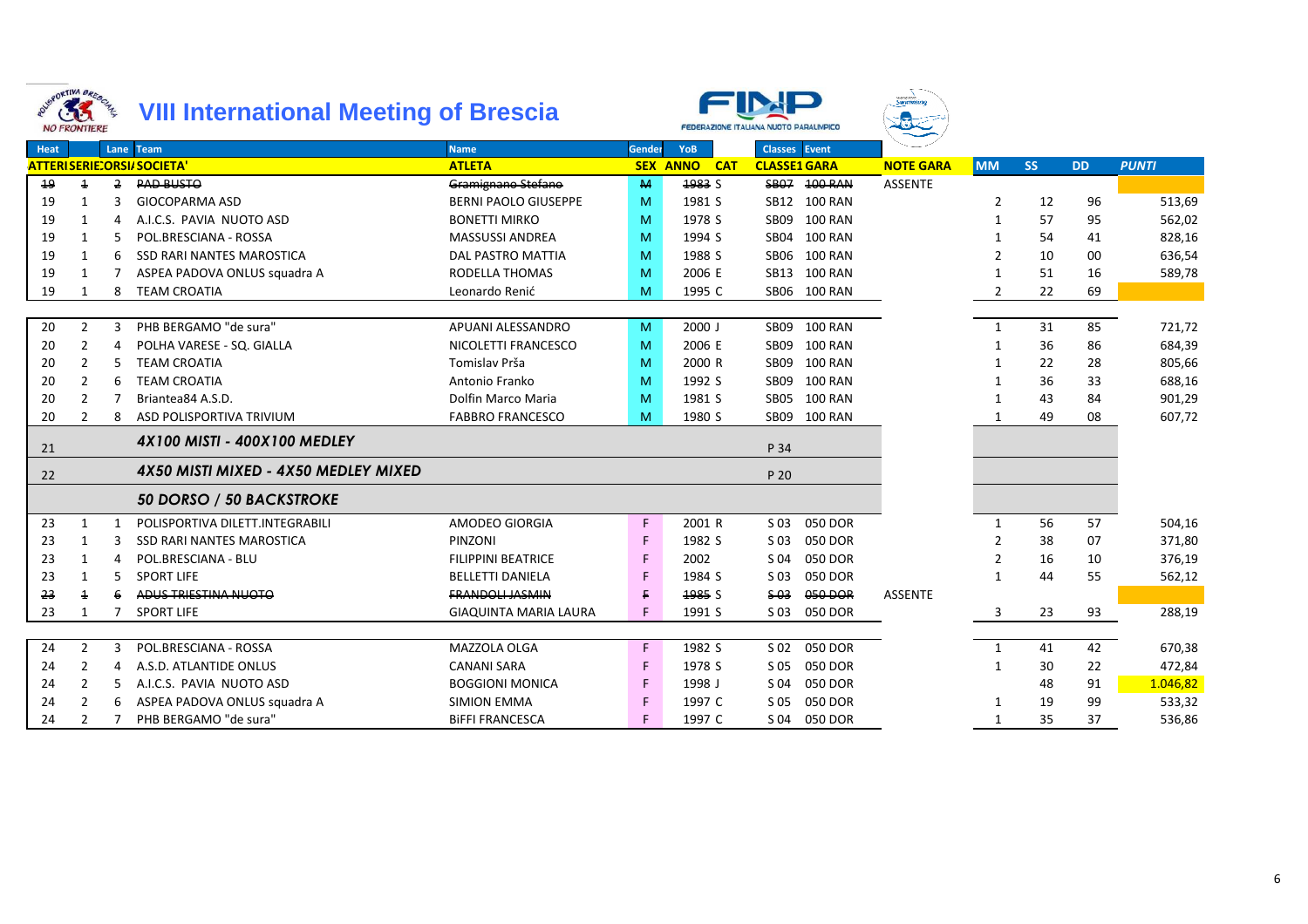



<sup>F</sup> <sup>1997</sup> <sup>C</sup> S 04 050 DOR <sup>1</sup> <sup>35</sup> <sup>37</sup> 536,86

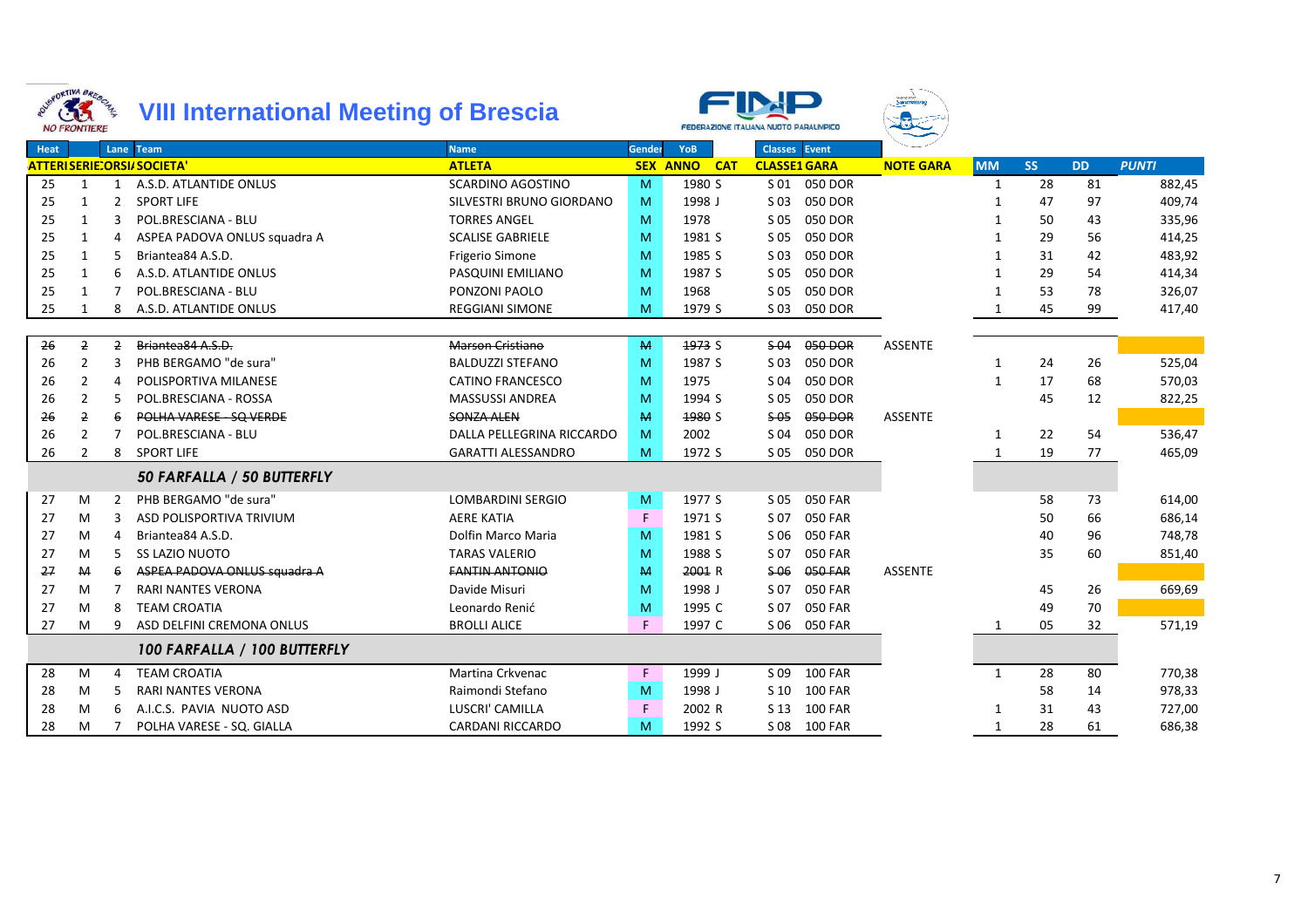



|      | 16RORTIME BOILE<br>33<br><b>NO FRONTIERE</b> |                | <b>VIII International Meeting of Brescia</b> |                           |        |                        | FEDERAZIONE ITALIANA NUOTO PARALIMPICO | wong Pala<br>S <b>wimming</b> |              |           |           |              |
|------|----------------------------------------------|----------------|----------------------------------------------|---------------------------|--------|------------------------|----------------------------------------|-------------------------------|--------------|-----------|-----------|--------------|
| Heat |                                              |                | Lane Team                                    | <b>Name</b>               | Gender | YoB                    | <b>Classes</b> Event                   |                               |              |           |           |              |
|      |                                              |                | <b>ATTERISERIE:ORSI/SOCIETA'</b>             | <b>ATLETA</b>             |        | <b>SEX ANNO</b><br>CAT | <b>CLASSE1 GARA</b>                    | <b>NOTE GARA</b>              | <b>MM</b>    | <b>SS</b> | <b>DD</b> | <b>PUNTI</b> |
| 25   | 1                                            | 1              | A.S.D. ATLANTIDE ONLUS                       | <b>SCARDINO AGOSTINO</b>  | M      | 1980 S                 | S 01 050 DOR                           |                               | 1            | 28        | 81        | 882,45       |
| 25   | 1                                            | 2              | <b>SPORT LIFE</b>                            | SILVESTRI BRUNO GIORDANO  | M      | 1998 J                 | 050 DOR<br>S 03                        |                               |              | 47        | 97        | 409,74       |
| 25   | 1                                            | 3              | POL.BRESCIANA - BLU                          | <b>TORRES ANGEL</b>       | M      | 1978                   | 050 DOR<br>S 05                        |                               |              | 50        | 43        | 335,96       |
| 25   | $\mathbf{1}$                                 |                | ASPEA PADOVA ONLUS squadra A                 | <b>SCALISE GABRIELE</b>   | M      | 1981 S                 | S 05<br>050 DOR                        |                               |              | 29        | 56        | 414,25       |
| 25   | $\mathbf{1}$                                 |                | Briantea84 A.S.D.                            | <b>Frigerio Simone</b>    | M      | 1985 S                 | 050 DOR<br>S 03                        |                               |              | 31        | 42        | 483,92       |
| 25   | 1                                            | 6              | A.S.D. ATLANTIDE ONLUS                       | PASQUINI EMILIANO         | M      | 1987 S                 | 050 DOR<br>S 05                        |                               |              | 29        | 54        | 414,34       |
| 25   | $\mathbf{1}$                                 |                | POL.BRESCIANA - BLU                          | PONZONI PAOLO             | M      | 1968                   | 050 DOR<br>S 05                        |                               |              | 53        | 78        | 326,07       |
| 25   | 1                                            | 8              | A.S.D. ATLANTIDE ONLUS                       | <b>REGGIANI SIMONE</b>    | M      | 1979 S                 | 050 DOR<br>S 03                        |                               |              | 45        | 99        | 417,40       |
|      |                                              |                |                                              |                           |        |                        |                                        |                               |              |           |           |              |
| 26   | $\overline{2}$                               | $\overline{2}$ | Briantea84 A.S.D.                            | Marson Cristiano          | M      | 1973 S                 | $$-04$<br>050 DOR                      | <b>ASSENTE</b>                |              |           |           |              |
| 26   | $\overline{2}$                               | 3              | PHB BERGAMO "de sura"                        | <b>BALDUZZI STEFANO</b>   | M      | 1987 S                 | 050 DOR<br>S 03                        |                               | 1            | 24        | 26        | 525,04       |
| 26   | $\overline{2}$                               | $\Delta$       | POLISPORTIVA MILANESE                        | <b>CATINO FRANCESCO</b>   | M      | 1975                   | 050 DOR<br>S 04                        |                               | $\mathbf{1}$ | 17        | 68        | 570,03       |
| 26   | 2                                            |                | POL.BRESCIANA - ROSSA                        | <b>MASSUSSI ANDREA</b>    | M      | 1994 S                 | 050 DOR<br>S 05                        |                               |              | 45        | 12        | 822,25       |
| 26   | 2                                            |                | POLHA VARESE - SQ VERDE                      | <b>SONZA ALEN</b>         | M      | 1980 S                 | 050 DOR<br>$S-05$                      | <b>ASSENTE</b>                |              |           |           |              |
| 26   | $\overline{2}$                               |                | POL.BRESCIANA - BLU                          | DALLA PELLEGRINA RICCARDO | M      | 2002                   | 050 DOR<br>S 04                        |                               | 1            | 22        | 54        | 536,47       |
| 26   | $\overline{2}$                               | 8              | <b>SPORT LIFE</b>                            | <b>GARATTI ALESSANDRO</b> | M      | 1972 S                 | S 05<br>050 DOR                        |                               | $\mathbf{1}$ | 19        | 77        | 465,09       |
|      |                                              |                | 50 FARFALLA / 50 BUTTERFLY                   |                           |        |                        |                                        |                               |              |           |           |              |
| 27   | M                                            | 2              | PHB BERGAMO "de sura"                        | <b>LOMBARDINI SERGIO</b>  | M      | 1977 S                 | S 05<br>050 FAR                        |                               |              | 58        | 73        | 614,00       |
| 27   | M                                            | 3              | ASD POLISPORTIVA TRIVIUM                     | <b>AERE KATIA</b>         | F      | 1971 S                 | 050 FAR<br>S 07                        |                               |              | 50        | 66        | 686,14       |
| 27   | M                                            | $\Delta$       | Briantea84 A.S.D.                            | Dolfin Marco Maria        | M      | 1981 S                 | S 06<br><b>050 FAR</b>                 |                               |              | 40        | 96        | 748,78       |
| 27   | M                                            | 5              | <b>SS LAZIO NUOTO</b>                        | <b>TARAS VALERIO</b>      | M      | 1988 S                 | S 07<br><b>050 FAR</b>                 |                               |              | 35        | 60        | 851,40       |
| 27   | M                                            | 6              | ASPEA PADOVA ONLUS squadra A                 | <b>FANTIN ANTONIO</b>     | M      | 2001 R                 | \$06<br>050 FAR                        | <b>ASSENTE</b>                |              |           |           |              |
| 27   | M                                            |                | <b>RARI NANTES VERONA</b>                    | Davide Misuri             | M      | 1998 J                 | S 07<br><b>050 FAR</b>                 |                               |              | 45        | 26        | 669,69       |
| 27   | M                                            | 8              | <b>TEAM CROATIA</b>                          | Leonardo Renić            | M      | 1995 C                 | <b>050 FAR</b><br>S 07                 |                               |              | 49        | 70        |              |
| 27   | м                                            | 9              | ASD DELFINI CREMONA ONLUS                    | <b>BROLLI ALICE</b>       | F.     | 1997 C                 | <b>050 FAR</b><br>S 06                 |                               | 1            | 05        | 32        | 571,19       |
|      |                                              |                | 100 FARFALLA / 100 BUTTERFLY                 |                           |        |                        |                                        |                               |              |           |           |              |
| 28   | M                                            | 4              | <b>TEAM CROATIA</b>                          | Martina Crkvenac          | F.     | 1999 J                 | S 09<br><b>100 FAR</b>                 |                               | $\mathbf{1}$ | 28        | 80        | 770,38       |
| 28   | M                                            | .5             | <b>RARI NANTES VERONA</b>                    | Raimondi Stefano          | M      | 1998 J                 | S 10<br><b>100 FAR</b>                 |                               |              | 58        | 14        | 978,33       |
| 28   | M                                            |                | A.I.C.S. PAVIA NUOTO ASD                     | LUSCRI' CAMILLA           | F.     | 2002 R                 | <b>100 FAR</b><br>S 13                 |                               | 1            | 31        | 43        | 727,00       |
| 28   | м                                            |                | POLHA VARESE - SQ. GIALLA                    | <b>CARDANI RICCARDO</b>   | M      | 1992 S                 | S 08 100 FAR                           |                               | 1            | 28        | 61        | 686,38       |

8 M 7 POLHA VARESE - SQ. GIALLA CARDANI RICCARDO NA 1992 S SO8 100 FAR 100 FAR 1 28 61 686,38

7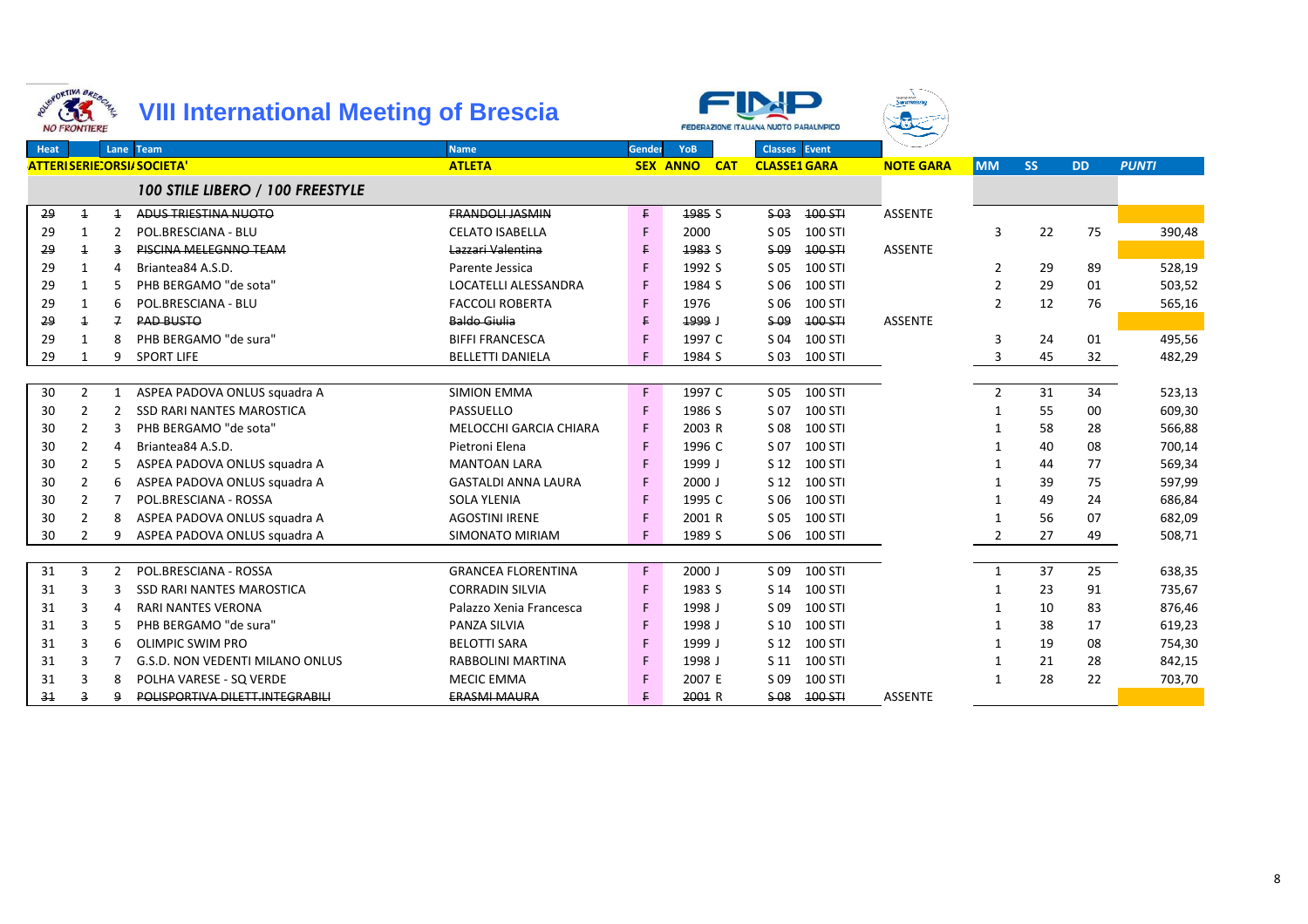|             | <b>1980RTIVA BRESCHAL</b><br>33<br><b>NO FRONTIERE</b> |                | <b>VIII International Meeting of Brescia</b> |                             |        |                               | FEDERAZIONE ITALIANA NUOTO PARALIMPICO | <sub>asag Pag</sub> .<br>S <b>wimmine</b> |                |           |           |              |
|-------------|--------------------------------------------------------|----------------|----------------------------------------------|-----------------------------|--------|-------------------------------|----------------------------------------|-------------------------------------------|----------------|-----------|-----------|--------------|
| <b>Heat</b> |                                                        | Lane           | <b>Team</b>                                  | <b>Name</b>                 | Gender | <b>YoB</b>                    | <b>Classes</b> Event                   |                                           |                |           |           |              |
|             |                                                        |                | <b>ATTERISERIE:ORSI/SOCIETA'</b>             | <b>ATLETA</b>               |        | <b>SEX ANNO</b><br><b>CAT</b> | <b>CLASSE1 GARA</b>                    | <b>NOTE GARA</b>                          | <b>MM</b>      | <b>SS</b> | <b>DD</b> | <b>PUNTI</b> |
|             |                                                        |                | 100 STILE LIBERO / 100 FREESTYLE             |                             |        |                               |                                        |                                           |                |           |           |              |
| 29          | $\overline{1}$                                         | $\overline{1}$ | ADUS TRIESTINA NUOTO                         | <b>FRANDOLL JASMIN</b>      | F.     | 1985 S                        | $$-03$<br>100 STI                      | <b>ASSENTE</b>                            |                |           |           |              |
| 29          | 1                                                      | 2              | POL.BRESCIANA - BLU                          | <b>CELATO ISABELLA</b>      | F      | 2000                          | S 05<br>100 STI                        |                                           | 3              | 22        | 75        | 390,48       |
| 29          | $\overline{1}$                                         | 3              | PISCINA MELEGNNO TEAM                        | Lazzari Valentina           | F.     | 1983 S                        | \$09<br>100 STI                        | <b>ASSENTE</b>                            |                |           |           |              |
| 29          | 1                                                      | 4              | Briantea84 A.S.D.                            | Parente Jessica             | F      | 1992 S                        | S 05<br>100 STI                        |                                           | 2              | 29        | 89        | 528,19       |
| 29          | 1                                                      |                | PHB BERGAMO "de sota"                        | <b>LOCATELLI ALESSANDRA</b> | F      | 1984 S                        | S 06<br>100 STI                        |                                           | 2              | 29        | 01        | 503,52       |
| 29          | 1                                                      | 6              | POL.BRESCIANA - BLU                          | <b>FACCOLI ROBERTA</b>      | F      | 1976                          | S 06<br>100 STI                        |                                           | $\overline{2}$ | 12        | 76        | 565,16       |
| 29          | $\overline{\mathbf{1}}$                                | $\overline{f}$ | <b>PAD BUSTO</b>                             | <b>Baldo Giulia</b>         | E.     | 1999 J                        | $S-09$<br>100 STI                      | <b>ASSENTE</b>                            |                |           |           |              |
| 29          | $\mathbf{1}$                                           | 8              | PHB BERGAMO "de sura"                        | <b>BIFFI FRANCESCA</b>      | F      | 1997 C                        | 100 STI<br>S 04                        |                                           | 3              | 24        | 01        | 495,56       |
| 29          | 1                                                      | 9              | <b>SPORT LIFE</b>                            | <b>BELLETTI DANIELA</b>     | F      | 1984 S                        | 100 STI<br>S 03                        |                                           | 3              | 45        | 32        | 482,29       |
|             |                                                        |                |                                              |                             |        |                               |                                        |                                           |                |           |           |              |
| 30          | $\overline{2}$                                         | 1              | ASPEA PADOVA ONLUS squadra A                 | <b>SIMION EMMA</b>          | F.     | 1997 C                        | $S$ 05<br>100 STI                      |                                           | $\overline{2}$ | 31        | 34        | 523,13       |
| 30          | $\mathfrak{p}$                                         | $\overline{2}$ | <b>SSD RARI NANTES MAROSTICA</b>             | PASSUELLO                   | F      | 1986 S                        | S 07<br>100 STI                        |                                           | -1             | 55        | 00        | 609,30       |
| 30          | 2                                                      | 3              | PHB BERGAMO "de sota"                        | MELOCCHI GARCIA CHIARA      | F      | 2003 R                        | 100 STI<br>S 08                        |                                           | 1              | 58        | 28        | 566,88       |
| 30          | $\overline{2}$                                         | 4              | Briantea84 A.S.D.                            | Pietroni Elena              | F      | 1996 C                        | 100 STI<br>S 07                        |                                           | -1             | 40        | 08        | 700,14       |
| 30          | 2                                                      | 5              | ASPEA PADOVA ONLUS squadra A                 | <b>MANTOAN LARA</b>         | F      | 1999 J                        | 100 STI<br>S 12                        |                                           | $\mathbf 1$    | 44        | 77        | 569,34       |
| 30          | 2                                                      | 6              | ASPEA PADOVA ONLUS squadra A                 | <b>GASTALDI ANNA LAURA</b>  | F      | $2000$ J                      | 100 STI<br>S 12                        |                                           | -1             | 39        | 75        | 597,99       |
| 30          | $\overline{2}$                                         | 7              | POL.BRESCIANA - ROSSA                        | <b>SOLA YLENIA</b>          | F      | 1995 C                        | 100 STI<br>S 06                        |                                           | $\mathbf 1$    | 49        | 24        | 686,84       |
| 30          | 2                                                      | 8              | ASPEA PADOVA ONLUS squadra A                 | <b>AGOSTINI IRENE</b>       | F      | 2001 R                        | 100 STI<br>S 05                        |                                           |                | 56        | 07        | 682,09       |
| 30          | 2                                                      | q              | ASPEA PADOVA ONLUS squadra A                 | <b>SIMONATO MIRIAM</b>      |        | 1989 S                        | 100 STI<br>S 06                        |                                           | 2              | 27        | 49        | 508,71       |
|             |                                                        |                |                                              |                             |        |                               |                                        |                                           |                |           |           |              |
| 31          | 3                                                      | $\overline{2}$ | POL.BRESCIANA - ROSSA                        | <b>GRANCEA FLORENTINA</b>   | F      | $2000$ J                      | 100 STI<br>S 09                        |                                           | 1              | 37        | 25        | 638,35       |
| 31          | 3                                                      | 3              | <b>SSD RARI NANTES MAROSTICA</b>             | <b>CORRADIN SILVIA</b>      | F      | 1983 S                        | 100 STI<br>S 14                        |                                           | 1              | 23        | 91        | 735,67       |
| 31          | 3                                                      | 4              | <b>RARI NANTES VERONA</b>                    | Palazzo Xenia Francesca     | F      | 1998 J                        | 100 STI<br>S 09                        |                                           | -1             | 10        | 83        | 876,46       |
| 31          | 3                                                      | 5              | PHB BERGAMO "de sura"                        | <b>PANZA SILVIA</b>         | F      | 1998 J                        | S <sub>10</sub><br>100 STI             |                                           | $\mathbf 1$    | 38        | 17        | 619,23       |
| 31          | 3                                                      | 6              | <b>OLIMPIC SWIM PRO</b>                      | <b>BELOTTI SARA</b>         | F      | 1999 J                        | S 12<br>100 STI                        |                                           | $\mathbf 1$    | 19        | 08        | 754,30       |
| 31          | 3                                                      |                | <b>G.S.D. NON VEDENTI MILANO ONLUS</b>       | RABBOLINI MARTINA           | F      | 1998 J                        | 100 STI<br>S <sub>11</sub>             |                                           | -1             | 21        | 28        | 842,15       |
| 31          | 3                                                      |                | POLHA VARESE - SQ VERDE                      | <b>MECIC EMMA</b>           |        | 2007 E                        | 100 STI<br>S 09                        |                                           | $\mathbf{1}$   | 28        | 22        | 703,70       |
| 31          | 3                                                      | q              | POLISPORTIVA DILETT.INTEGRABILI              | <b>ERASMI MAURA</b>         | E.     | 2001 R                        | $S-08$<br>100 STI                      | <b>ASSENTE</b>                            |                |           |           |              |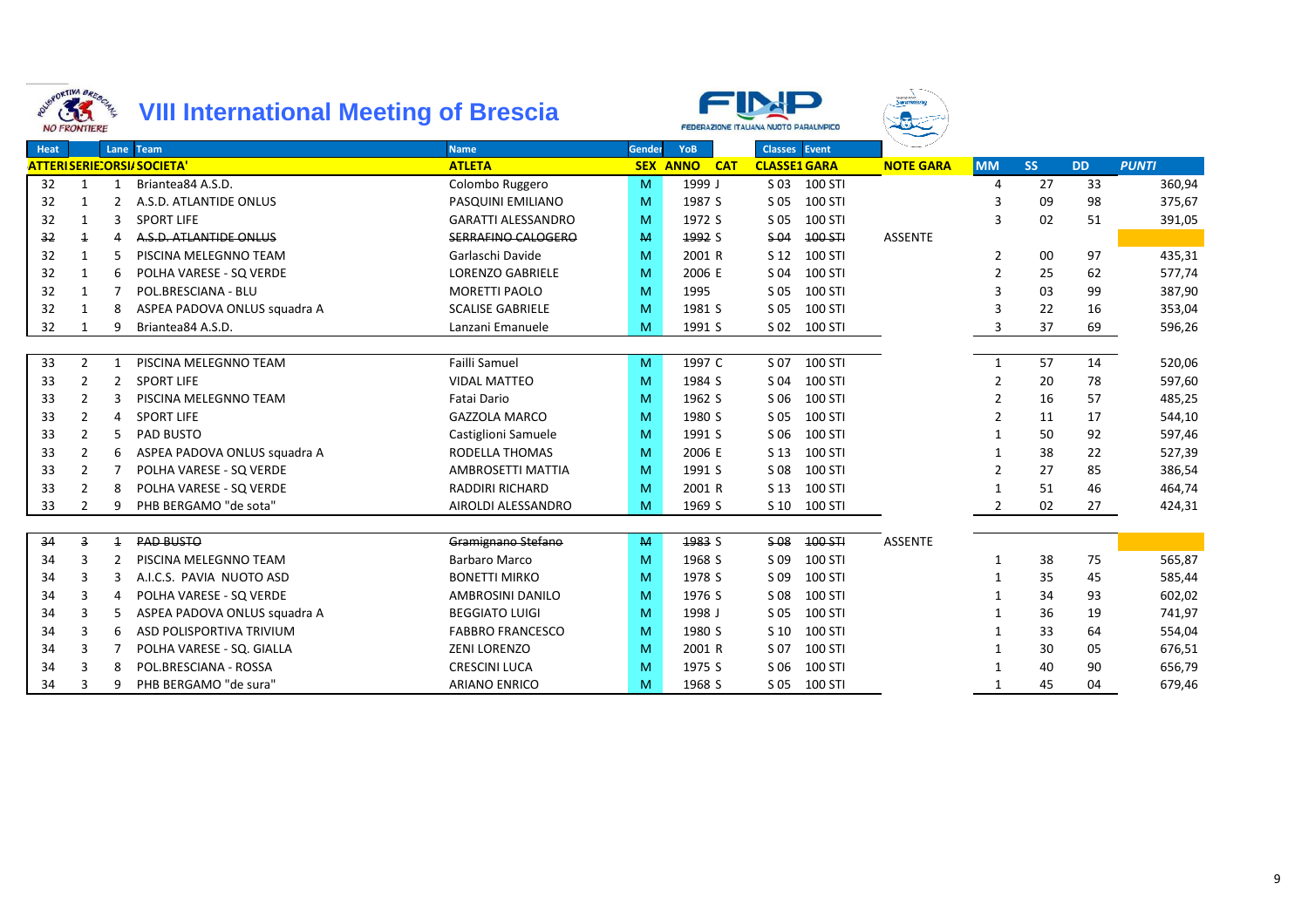



Swimming

|      | <b>NU FRUNTIERE</b>     |                |                                  |                           |        |                        | "EDEHAZIONE II AUANA NOOTO PAHAUMPICO |                  |                |           |           |              |
|------|-------------------------|----------------|----------------------------------|---------------------------|--------|------------------------|---------------------------------------|------------------|----------------|-----------|-----------|--------------|
| Heat |                         |                | Lane Team                        | <b>Name</b>               | Gender | YoB                    | <b>Classes</b> Event                  |                  |                |           |           |              |
|      |                         |                | <b>ATTERISERIE:ORSI/SOCIETA'</b> | <b>ATLETA</b>             |        | <b>SEX ANNO</b><br>CAT | <b>CLASSE1 GARA</b>                   | <b>NOTE GARA</b> | <b>MM</b>      | <b>SS</b> | <b>DD</b> | <b>PUNTI</b> |
| 32   | 1                       | 1              | Briantea84 A.S.D.                | Colombo Ruggero           | M      | 1999 J                 | S 03 100 STI                          |                  | $\Delta$       | 27        | 33        | 360,94       |
| 32   | 1                       |                | A.S.D. ATLANTIDE ONLUS           | PASQUINI EMILIANO         | M      | 1987 S                 | 100 STI<br>S 05                       |                  | 3              | 09        | 98        | 375,67       |
| 32   | 1                       | 3              | <b>SPORT LIFE</b>                | <b>GARATTI ALESSANDRO</b> | M      | 1972 S                 | S 05<br>100 STI                       |                  | 3              | 02        | 51        | 391,05       |
| 32   | $\overline{\mathbf{1}}$ |                | A.S.D. ATLANTIDE ONLUS           | <b>SERRAFINO CALOGERO</b> | M      | 1992 S                 | $$-04$<br>100 STI                     | <b>ASSENTE</b>   |                |           |           |              |
| 32   | 1                       | 5              | PISCINA MELEGNNO TEAM            | Garlaschi Davide          | M      | 2001 R                 | 100 STI<br>S 12                       |                  | $\overline{2}$ | 00        | 97        | 435,31       |
| 32   | $\mathbf{1}$            | 6              | POLHA VARESE - SQ VERDE          | <b>LORENZO GABRIELE</b>   | M      | 2006 E                 | S 04<br>100 STI                       |                  | $\overline{2}$ | 25        | 62        | 577,74       |
| 32   | 1                       |                | POL.BRESCIANA - BLU              | MORETTI PAOLO             | M      | 1995                   | 100 STI<br>S 05                       |                  | 3              | 03        | 99        | 387,90       |
| 32   | 1                       | 8              | ASPEA PADOVA ONLUS squadra A     | <b>SCALISE GABRIELE</b>   | M      | 1981 S                 | S 05<br>100 STI                       |                  | 3              | 22        | 16        | 353,04       |
| 32   | 1                       |                | Briantea84 A.S.D.                | Lanzani Emanuele          | M      | 1991 S                 | S 02<br>100 STI                       |                  | 3              | 37        | 69        | 596,26       |
|      |                         |                |                                  |                           |        |                        |                                       |                  |                |           |           |              |
| 33   | $\overline{2}$          | -1             | PISCINA MELEGNNO TEAM            | Failli Samuel             | M      | 1997 C                 | S 07<br>100 STI                       |                  | $\mathbf{1}$   | 57        | 14        | 520,06       |
| 33   | 2                       | 2              | <b>SPORT LIFE</b>                | <b>VIDAL MATTEO</b>       | M      | 1984 S                 | S 04<br>100 STI                       |                  | 2              | 20        | 78        | 597,60       |
| 33   | 2                       |                | PISCINA MELEGNNO TEAM            | Fatai Dario               | M      | 1962 S                 | 100 STI<br>S 06                       |                  | $\mathcal{P}$  | 16        | 57        | 485,25       |
| 33   | 2                       | 4              | <b>SPORT LIFE</b>                | <b>GAZZOLA MARCO</b>      | M      | 1980 S                 | 100 STI<br>S 05                       |                  | $\mathcal{P}$  | 11        | 17        | 544,10       |
| 33   | 2                       | 5              | <b>PAD BUSTO</b>                 | Castiglioni Samuele       | M      | 1991 S                 | S 06<br>100 STI                       |                  |                | 50        | 92        | 597,46       |
| 33   | 2                       | 6              | ASPEA PADOVA ONLUS squadra A     | RODELLA THOMAS            | M      | 2006 E                 | S 13<br>100 STI                       |                  |                | 38        | 22        | 527,39       |
| 33   | 2                       |                | POLHA VARESE - SQ VERDE          | AMBROSETTI MATTIA         | M      | 1991 S                 | S 08<br>100 STI                       |                  | $\mathcal{P}$  | 27        | 85        | 386,54       |
| 33   | 2                       | 8              | POLHA VARESE - SQ VERDE          | <b>RADDIRI RICHARD</b>    | M      | 2001 R                 | 100 STI<br>S 13                       |                  |                | 51        | 46        | 464,74       |
| 33   | $\overline{2}$          |                | PHB BERGAMO "de sota"            | AIROLDI ALESSANDRO        | M      | 1969 S                 | S <sub>10</sub><br>100 STI            |                  | 2              | 02        | 27        | 424,31       |
|      |                         |                |                                  |                           |        |                        |                                       |                  |                |           |           |              |
| 34   | 3                       | $\overline{1}$ | <b>PAD BUSTO</b>                 | Gramignano Stefano        | M      | 1983 S                 | $$-08$<br>100 STI                     | <b>ASSENTE</b>   |                |           |           |              |
| 34   | 3                       |                | PISCINA MELEGNNO TEAM            | <b>Barbaro Marco</b>      | M      | 1968 S                 | 100 STI<br>S 09                       |                  |                | 38        | 75        | 565,87       |
| 34   | 3                       | 3              | A.I.C.S. PAVIA NUOTO ASD         | <b>BONETTI MIRKO</b>      | M      | 1978 S                 | S 09<br>100 STI                       |                  |                | 35        | 45        | 585,44       |
| 34   | 3                       |                | POLHA VARESE - SQ VERDE          | <b>AMBROSINI DANILO</b>   | M      | 1976 S                 | S 08<br>100 STI                       |                  |                | 34        | 93        | 602,02       |
| 34   | 3                       |                | ASPEA PADOVA ONLUS squadra A     | <b>BEGGIATO LUIGI</b>     | M      | 1998 J                 | S 05<br>100 STI                       |                  |                | 36        | 19        | 741,97       |
| 34   | 3                       | 6              | ASD POLISPORTIVA TRIVIUM         | <b>FABBRO FRANCESCO</b>   | M      | 1980 S                 | 100 STI<br>S 10                       |                  |                | 33        | 64        | 554,04       |
| 34   | 3                       |                | POLHA VARESE - SQ. GIALLA        | <b>ZENI LORENZO</b>       | M      | 2001 R                 | S 07<br>100 STI                       |                  |                | 30        | 05        | 676,51       |
| 34   | 3                       | 8              | POL.BRESCIANA - ROSSA            | <b>CRESCINI LUCA</b>      | M      | 1975 S                 | S 06<br>100 STI                       |                  |                | 40        | 90        | 656,79       |
| 34   |                         |                | PHB BERGAMO "de sura"            | <b>ARIANO ENRICO</b>      | M      | 1968 S                 | 100 STI<br>S 05                       |                  |                | 45        | 04        | 679,46       |
|      |                         |                |                                  |                           |        |                        |                                       |                  |                |           |           |              |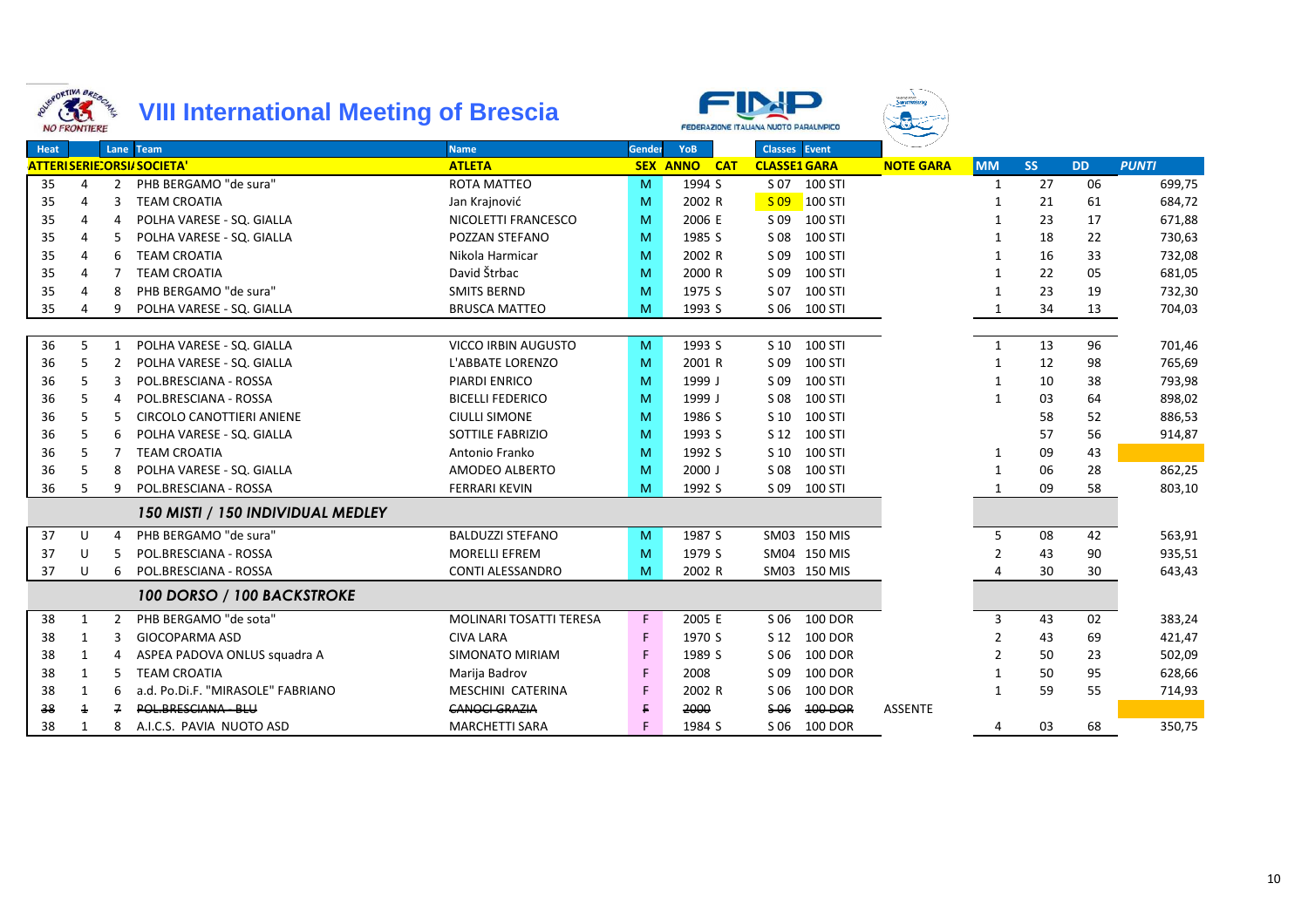



Swimm

|      | $\sim$ $\sim$ $\sim$ $\sim$ $\sim$ $\sim$ |                |                                   |                            |        |                     |                        |                  |                |           |           |              |
|------|-------------------------------------------|----------------|-----------------------------------|----------------------------|--------|---------------------|------------------------|------------------|----------------|-----------|-----------|--------------|
| Heat |                                           |                | Lane Team                         | <b>Name</b>                | Gender | YoB                 | Classes Event          |                  |                |           |           |              |
|      |                                           |                | <b>ATTERISERIE:ORSI/SOCIETA'</b>  | <b>ATLETA</b>              |        | <b>SEX ANNO CAT</b> | <b>CLASSE1 GARA</b>    | <b>NOTE GARA</b> | <b>MM</b>      | <b>SS</b> | <b>DD</b> | <b>PUNTI</b> |
| 35   | 4                                         | $\overline{2}$ | PHB BERGAMO "de sura"             | <b>ROTA MATTEO</b>         | M      | 1994 S              | S 07 100 STI           |                  | 1              | 27        | 06        | 699,75       |
| 35   | 4                                         | 3              | <b>TEAM CROATIA</b>               | Jan Krajnović              | M      | 2002 R              | $S$ 09<br>$100$ STI    |                  | 1              | 21        | 61        | 684,72       |
| 35   | 4                                         |                | POLHA VARESE - SQ. GIALLA         | NICOLETTI FRANCESCO        | M      | 2006 E              | S 09 100 STI           |                  | 1              | 23        | 17        | 671,88       |
| 35   | 4                                         |                | POLHA VARESE - SQ. GIALLA         | POZZAN STEFANO             | M      | 1985 S              | 100 STI<br>S 08        |                  | $\mathbf{1}$   | 18        | 22        | 730,63       |
| 35   | 4                                         | 6              | <b>TEAM CROATIA</b>               | Nikola Harmicar            | M      | 2002 R              | 100 STI<br>S 09        |                  | 1              | 16        | 33        | 732,08       |
| 35   | 4                                         |                | <b>TEAM CROATIA</b>               | David Štrbac               | M      | 2000 R              | 100 STI<br>S 09        |                  | 1              | 22        | 05        | 681,05       |
| 35   | 4                                         | 8              | PHB BERGAMO "de sura"             | <b>SMITS BERND</b>         | M      | 1975 S              | S 07<br>100 STI        |                  | 1              | 23        | 19        | 732,30       |
| 35   | 4                                         |                | POLHA VARESE - SQ. GIALLA         | <b>BRUSCA MATTEO</b>       | M      | 1993 S              | S 06 100 STI           |                  |                | 34        | 13        | 704,03       |
|      |                                           |                |                                   |                            |        |                     |                        |                  |                |           |           |              |
| 36   | 5                                         |                | POLHA VARESE - SQ. GIALLA         | <b>VICCO IRBIN AUGUSTO</b> | M      | 1993 S              | S 10 100 STI           |                  | 1              | 13        | 96        | 701,46       |
| 36   | 5                                         |                | POLHA VARESE - SQ. GIALLA         | L'ABBATE LORENZO           | M      | 2001 R              | 100 STI<br>S 09        |                  | $\mathbf{1}$   | 12        | 98        | 765,69       |
| 36   | 5                                         |                | POL.BRESCIANA - ROSSA             | PIARDI ENRICO              | M      | 1999 J              | 100 STI<br>S 09        |                  | $\mathbf{1}$   | 10        | 38        | 793,98       |
| 36   | 5                                         |                | POL.BRESCIANA - ROSSA             | <b>BICELLI FEDERICO</b>    | M      | 1999 J              | 100 STI<br>S 08        |                  | $\mathbf{1}$   | 03        | 64        | 898,02       |
| 36   | 5                                         |                | <b>CIRCOLO CANOTTIERI ANIENE</b>  | <b>CIULLI SIMONE</b>       | M      | 1986 S              | 100 STI<br>S 10        |                  |                | 58        | 52        | 886,53       |
| 36   | 5                                         | 6              | POLHA VARESE - SQ. GIALLA         | <b>SOTTILE FABRIZIO</b>    | M      | 1993 S              | S 12 100 STI           |                  |                | 57        | 56        | 914,87       |
| 36   | 5                                         |                | <b>TEAM CROATIA</b>               | Antonio Franko             | M      | 1992 S              | 100 STI<br>S 10        |                  | $\mathbf{1}$   | 09        | 43        |              |
| 36   | 5                                         | 8              | POLHA VARESE - SQ. GIALLA         | AMODEO ALBERTO             | M      | $2000$ J            | 100 STI<br>S 08        |                  | $\mathbf{1}$   | 06        | 28        | 862,25       |
| 36   | 5                                         | 9              | POL.BRESCIANA - ROSSA             | <b>FERRARI KEVIN</b>       | M      | 1992 S              | S 09 100 STI           |                  | 1              | 09        | 58        | 803,10       |
|      |                                           |                | 150 MISTI / 150 INDIVIDUAL MEDLEY |                            |        |                     |                        |                  |                |           |           |              |
| 37   | U                                         | 4              | PHB BERGAMO "de sura"             | <b>BALDUZZI STEFANO</b>    | M      | 1987 S              | SM03 150 MIS           |                  | 5              | 08        | 42        | 563,91       |
| 37   | U                                         |                | POL.BRESCIANA - ROSSA             | <b>MORELLI EFREM</b>       | M      | 1979 S              | SM04 150 MIS           |                  | $\overline{2}$ | 43        | 90        | 935,51       |
| 37   | U                                         | 6              | POL.BRESCIANA - ROSSA             | CONTI ALESSANDRO           | M      | 2002 R              | SM03 150 MIS           |                  | 4              | 30        | 30        | 643,43       |
|      |                                           |                | 100 DORSO / 100 BACKSTROKE        |                            |        |                     |                        |                  |                |           |           |              |
| 38   | 1                                         | $\mathcal{P}$  | PHB BERGAMO "de sota"             | MOLINARI TOSATTI TERESA    | F.     | 2005 E              | S 06<br><b>100 DOR</b> |                  | 3              | 43        | 02        | 383,24       |
| 38   | 1                                         |                | <b>GIOCOPARMA ASD</b>             | <b>CIVA LARA</b>           | F      | 1970 S              | <b>100 DOR</b><br>S 12 |                  | 2              | 43        | 69        | 421,47       |
| 38   | 1                                         |                | ASPEA PADOVA ONLUS squadra A      | <b>SIMONATO MIRIAM</b>     | F      | 1989 S              | S 06<br>100 DOR        |                  |                | 50        | 23        | 502,09       |
| 38   | 1                                         | 5              | <b>TEAM CROATIA</b>               | Marija Badrov              | F      | 2008                | <b>100 DOR</b><br>S 09 |                  |                | 50        | 95        | 628,66       |
| 38   | 1                                         | 6              | a.d. Po.Di.F. "MIRASOLE" FABRIANO | MESCHINI CATERINA          |        | 2002 R              | S 06<br><b>100 DOR</b> |                  | 1              | 59        | 55        | 714,93       |
| 38   |                                           | 7              | POL.BRESCIANA - BLU               | <b>CANOCI GRAZIA</b>       |        | 2000                | \$06<br>100 DOR        | <b>ASSENTE</b>   |                |           |           |              |
| 38   | 1                                         | 8              | A.I.C.S. PAVIA NUOTO ASD          | <b>MARCHETTI SARA</b>      |        | 1984 S              | S 06 100 DOR           |                  | 4              | 03        | 68        | 350,75       |